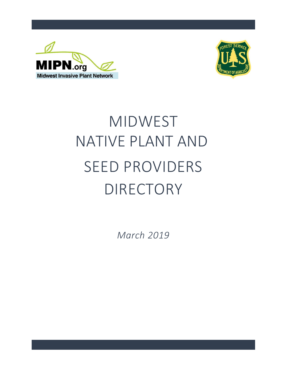



# MIDWEST SEED PROVIDERS DIRECTORY NATIVE PLANT AND

*March 2019*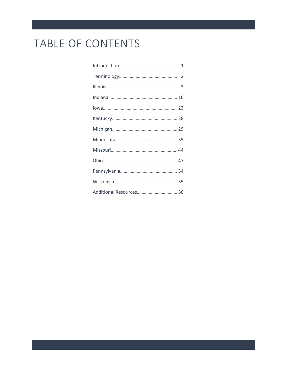## TABLE OF CONTENTS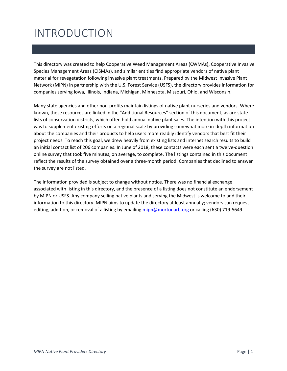## INTRODUCTION

This directory was created to help Cooperative Weed Management Areas (CWMAs), Cooperative Invasive Species Management Areas (CISMAs), and similar entities find appropriate vendors of native plant material for revegetation following invasive plant treatments. Prepared by the Midwest Invasive Plant Network (MIPN) in partnership with the U.S. Forest Service (USFS), the directory provides information for companies serving Iowa, Illinois, Indiana, Michigan, Minnesota, Missouri, Ohio, and Wisconsin.

Many state agencies and other non-profits maintain listings of native plant nurseries and vendors. Where known, these resources are linked in the "Additional Resources" section of this document, as are state lists of conservation districts, which often hold annual native plant sales. The intention with this project was to supplement existing efforts on a regional scale by providing somewhat more in-depth information about the companies and their products to help users more readily identify vendors that best fit their project needs. To reach this goal, we drew heavily from existing lists and internet search results to build an initial contact list of 206 companies. In June of 2018, these contacts were each sent a twelve-question online survey that took five minutes, on average, to complete. The listings contained in this document reflect the results of the survey obtained over a three-month period. Companies that declined to answer the survey are not listed.

The information provided is subject to change without notice. There was no financial exchange associated with listing in this directory, and the presence of a listing does not constitute an endorsement by MIPN or USFS. Any company selling native plants and serving the Midwest is welcome to add their information to this directory. MIPN aims to update the directory at least annually; vendors can request editing, addition, or removal of a listing by emailing [mipn@mortonarb.org](mailto:mipn@mortonarb.org) or calling (630) 719-5649.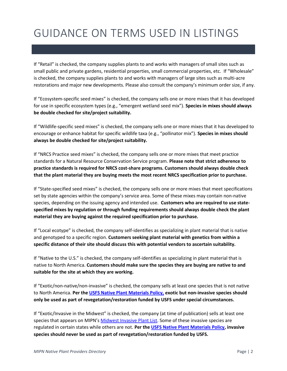## GUIDANCE ON TERMS USED IN LISTINGS

If "Retail" is checked, the company supplies plants to and works with managers of small sites such as small public and private gardens, residential properties, small commercial properties, etc. If "Wholesale" is checked, the company supplies plants to and works with managers of large sites such as multi-acre restorations and major new developments. Please also consult the company's minimum order size, if any.

If "Ecosystem-specific seed mixes" is checked, the company sells one or more mixes that it has developed for use in specific ecosystem types (e.g., "emergent wetland seed mix"). **Species in mixes should always be double checked for site/project suitability.**

If "Wildlife-specific seed mixes" is checked, the company sells one or more mixes that it has developed to encourage or enhance habitat for specific wildlife taxa (e.g., "pollinator mix"). **Species in mixes should always be double checked for site/project suitability.**

If "NRCS Practice seed mixes" is checked, the company sells one or more mixes that meet practice standards for a Natural Resource Conservation Service program. **Please note that strict adherence to practice standards is required for NRCS cost-share programs. Customers should always double check that the plant material they are buying meets the most recent NRCS specification prior to purchase.**

If "State-specified seed mixes" is checked, the company sells one or more mixes that meet specifications set by state agencies within the company's service area. Some of these mixes may contain non-native species, depending on the issuing agency and intended use. **Customers who are required to use statespecified mixes by regulation or through funding requirements should always double check the plant material they are buying against the required specification prior to purchase.**

If "Local ecotype" is checked, the company self-identifies as specializing in plant material that is native and genotyped to a specific region. **Customers seeking plant material with genetics from within a specific distance of their site should discuss this with potential vendors to ascertain suitability.**

If "Native to the U.S." is checked, the company self-identifies as specializing in plant material that is native to North America. **Customers should make sure the species they are buying are native to and suitable for the site at which they are working.**

If "Exotic/non-native/non-invasive" is checked, the company sells at least one species that is not native to North America. **Per the [USFS Native Plant Materials Policy,](https://www.fs.fed.us/wildflowers/Native_Plant_Materials/policy.shtml) exotic but non-invasive species should only be used as part of revegetation/restoration funded by USFS under special circumstances.**

If "Exotic/Invasive in the Midwest" is checked, the company (at time of publication) sells at least one species that appears on MIPN's [Midwest Invasive Plant List.](https://www.mipn.org/plantlist/) Some of these invasive species are regulated in certain states while others are not. **Per the [USFS Native Plant Materials Policy,](https://www.fs.fed.us/wildflowers/Native_Plant_Materials/policy.shtml) invasive species should never be used as part of revegetation/restoration funded by USFS.**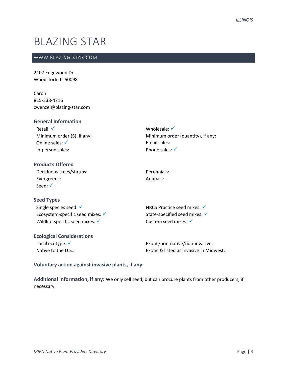### BLAZING STAR

#### WWW.BLAZING-STAR.COM

2107 Edgewood Dr Woodstock, IL 60098

Caron 815-338-4716 cwenzel@blazing-star.com

| <b>General Information</b>      |                                   |
|---------------------------------|-----------------------------------|
| Retail: $\checkmark$            | Wholesale: $\checkmark$           |
| Minimum order $(\xi)$ , if any: | Minimum order (quantity), if any: |
| Online sales: $\checkmark$      | Email sales:                      |
| In-person sales:                | Phone sales: $\checkmark$         |
|                                 |                                   |

| <b>Products Offered</b> |  |
|-------------------------|--|
| Deciduous trees/shrubs: |  |
| Evergreens:             |  |
| Seed: $\checkmark$      |  |

**Seed Types**

Single species seed: √ Ecosystem-specific seed mixes:  $√$ Wildlife-specific seed mixes: √

#### **Ecological Considerations**

Local ecotype: √ Native to the U.S.: NRCS Practice seed mixes: √ State-specified seed mixes: ✓ Custom seed mixes: √

Perennials: Annuals:

Exotic/non-native/non-invasive: Exotic & listed as invasive in Midwest:

#### **Voluntary action against invasive plants, if any:**

**Additional information, if any:** We only sell seed, but can procure plants from other producers, if necessary.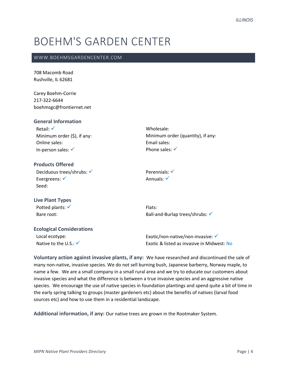### BOEHM'S GARDEN CENTER

#### WWW.BOEHMSGARDENCENTER.COM

708 Macomb Road Rushville, IL 62681

Carey Boehm-Corrie 217-322-6644 boehmsgc@frontiernet.net

#### **General Information**

| Retail: $\checkmark$            |
|---------------------------------|
| Minimum order $(\xi)$ , if any: |
| Online sales:                   |
| In-person sales: $\checkmark$   |

Wholesale: Minimum order (quantity), if any: Email sales: Phone sales:  $√$ 

#### **Products Offered**

Deciduous trees/shrubs: √ Evergreens: <del>✓</del> Seed:

Perennials: ✓ Annuals: ✓

#### **Live Plant Types** Potted plants: √ Bare root:

Flats: Ball-and-Burlap trees/shrubs: ✓

#### **Ecological Considerations**

Local ecotype: Native to the U.S.:  $\checkmark$  Exotic/non-native/non-invasive: ✓ Exotic & listed as invasive in Midwest: No

**Voluntary action against invasive plants, if any:** We have researched and discontinued the sale of many non-native, invasive species. We do not sell burning bush, Japanese barberry, Norway maple, to name a few. We are a small company in a small rural area and we try to educate our customers about invasive species and what the difference is between a true invasive species and an aggressive native species. We encourage the use of native species in foundation plantings and spend quite a bit of time in the early spring talking to groups (master gardeners etc) about the benefits of natives (larval food sources etc) and how to use them in a residential landscape.

**Additional information, if any:** Our native trees are grown in the Rootmaker System.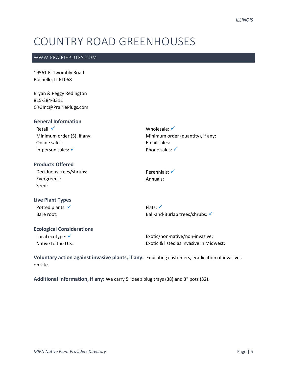## COUNTRY ROAD GREENHOUSES

#### WWW.PRAIRIEPLUGS.COM

19561 E. Twombly Road Rochelle, IL 61068

Bryan & Peggy Redington 815-384-3311 CRGInc@PrairiePlugs.com

#### **General Information**

Retail: √ Minimum order (\$), if any: Online sales: In-person sales: √

Wholesale: √ Minimum order (quantity), if any: Email sales: Phone sales: √

#### **Products Offered** Deciduous trees/shrubs: Evergreens: Seed:

Perennials: √ Annuals:

#### **Live Plant Types** Potted plants: √ Bare root:

Flats: √ Ball-and-Burlap trees/shrubs: √

#### **Ecological Considerations**

Local ecotype: √ Native to the U.S.:

Exotic/non-native/non-invasive: Exotic & listed as invasive in Midwest:

**Voluntary action against invasive plants, if any:** Educating customers, eradication of invasives on site.

**Additional information, if any:** We carry 5" deep plug trays (38) and 3" pots (32).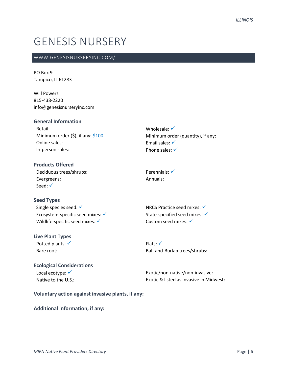### GENESIS NURSERY

#### WWW.GENESISNURSERYINC.COM/

PO Box 9 Tampico, IL 61283

Will Powers 815-438-2220 info@genesisnurseryinc.com

#### **General Information**

Retail: Minimum order  $(\xi)$ , if any:  $\frac{\xi}{100}$ Online sales: In-person sales:

Wholesale: √ Minimum order (quantity), if any: Email sales: √ Phone sales: √

**Products Offered** Deciduous trees/shrubs: Evergreens: Seed: √

Perennials: <del>✓</del> Annuals:

### **Seed Types**

Single species seed: √ Ecosystem-specific seed mixes: <del>✓</del> Wildlife-specific seed mixes: ✓

### **Live Plant Types**

Potted plants: √ Bare root:

NRCS Practice seed mixes: ✓ State-specified seed mixes: √ Custom seed mixes: √

Flats: ✓ Ball-and-Burlap trees/shrubs:

#### **Ecological Considerations** Local ecotype: <del>✓</del> Native to the U.S.:

Exotic/non-native/non-invasive: Exotic & listed as invasive in Midwest:

**Voluntary action against invasive plants, if any:**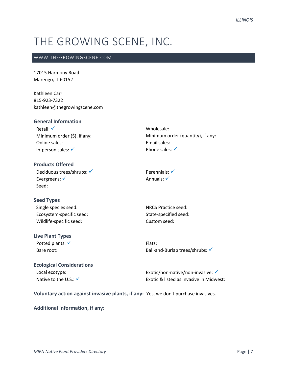## THE GROWING SCENE, INC.

#### WWW.THEGROWINGSCENE.COM

17015 Harmony Road Marengo, IL 60152

Kathleen Carr 815-923-7322 kathleen@thegrowingscene.com

#### **General Information** Retail: √ Minimum order (\$), if any: Online sales: In-person sales: ✓ Wholesale: Minimum order (quantity), if any: Email sales: Phone sales: √ **Products Offered** Deciduous trees/shrubs: √ Perennials: √

Evergreens: <del>✓</del> Seed:

#### **Seed Types**

Single species seed: Ecosystem-specific seed: Wildlife-specific seed:

#### **Live Plant Types**

Potted plants: √ Bare root:

NRCS Practice seed: State-specified seed: Custom seed:

Annuals: <del>✓</del>

Flats: Ball-and-Burlap trees/shrubs: √

#### **Ecological Considerations** Local ecotype: Native to the U.S.:  $\checkmark$

Exotic/non-native/non-invasive: ✔ Exotic & listed as invasive in Midwest:

**Voluntary action against invasive plants, if any:** Yes, we don't purchase invasives.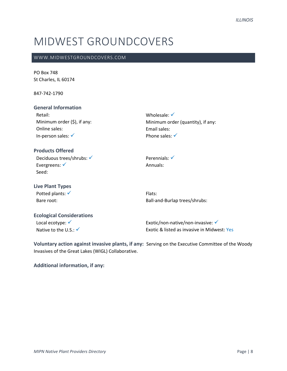### MIDWEST GROUNDCOVERS

#### WWW.MIDWESTGROUNDCOVERS.COM

PO Box 748 St Charles, IL 60174

847-742-1790

#### **General Information**

Retail: Minimum order (\$), if any: Online sales: In-person sales: ✓

#### **Products Offered**

Deciduous trees/shrubs: √ Evergreens: <del>✓</del> Seed:

#### **Live Plant Types**

Potted plants: √ Bare root:

### Perennials: √ Annuals:

Wholesale: √

Email sales: Phone sales: √

Flats: Ball-and-Burlap trees/shrubs:

Minimum order (quantity), if any:

#### **Ecological Considerations**

Local ecotype: √ Native to the U.S.: √

Exotic/non-native/non-invasive: ✔ Exotic & listed as invasive in Midwest: Yes

**Voluntary action against invasive plants, if any:** Serving on the Executive Committee of the Woody Invasives of the Great Lakes (WIGL) Collaborative.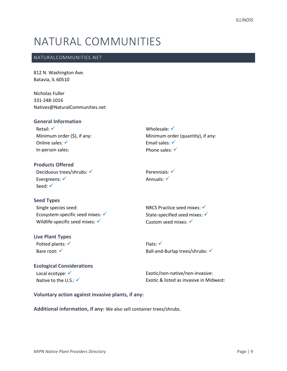### NATURAL COMMUNITIES

#### NATURALCOMMUNITIES.NET

812 N. Washington Ave. Batavia, IL 60510

Nicholas Fuller 331-248-1016 Natives@NaturalCommunities.net

#### **General Information**

Retail: √ Minimum order (\$), if any: Online sales: √ In-person sales:

Wholesale: √ Minimum order (quantity), if any: Email sales: √ Phone sales: √

#### **Products Offered** Deciduous trees/shrubs: √ Evergreens: √ Seed: √

Perennials: √ Annuals: √

#### **Seed Types** Single species seed: Ecosystem-specific seed mixes: ✓ Wildlife-specific seed mixes: √

#### **Live Plant Types**

Potted plants: √ Bare root: <del>✓</del>

NRCS Practice seed mixes: ✓ State-specified seed mixes: ✓ Custom seed mixes: √

Flats: ✓ Ball-and-Burlap trees/shrubs: ✓

### **Ecological Considerations** Local ecotype: <del>✓</del>

Native to the U.S.:  $\checkmark$ 

Exotic/non-native/non-invasive: Exotic & listed as invasive in Midwest:

#### **Voluntary action against invasive plants, if any:**

**Additional information, if any:** We also sell container trees/shrubs.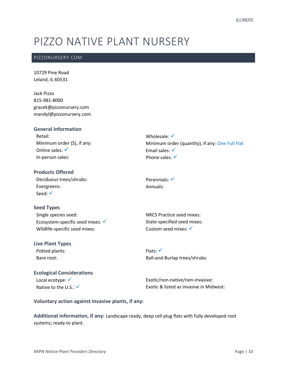## PIZZO NATIVE PLANT NURSERY

#### PIZZONURSERY.COM

10729 Pine Road Leland, IL 60531

Jack Pizzo 815-981-8000 gracek@pizzonursery.com mandyl@pizzonursery.com

#### **General Information**

Retail: Minimum order (\$), if any: Online sales: √ In-person sales:

#### **Products Offered**

Deciduous trees/shrubs: Evergreens: Seed: √

### **Seed Types**

Single species seed: Ecosystem-specific seed mixes:  $√$ Wildlife-specific seed mixes:

#### **Live Plant Types**

Potted plants: Bare root:

### Flats: ✓ Ball-and-Burlap trees/shrubs:

NRCS Practice seed mixes: State-specified seed mixes: Custom seed mixes: √

Perennials: <del>✓</del> Annuals:

#### **Ecological Considerations** Local ecotype: √ Native to the U.S.: ✔

Exotic/non-native/non-invasive: Exotic & listed as invasive in Midwest:

#### **Voluntary action against invasive plants, if any:**

**Additional information, if any:** Landscape ready, deep cell plug flats with fully developed root systems; ready to plant.

Wholesale: √ Minimum order (quantity), if any: One Full Flat Email sales: √ Phone sales: ✓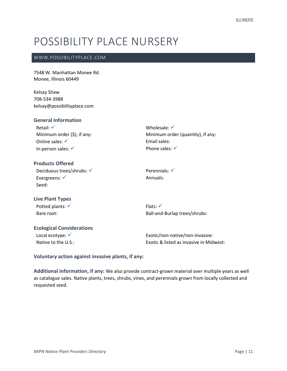### POSSIBILITY PLACE NURSERY

#### WWW.POSSIBILITYPLACE.COM

7548 W. Manhattan Monee Rd. Monee, Illinois 60449

Kelsay Shaw 708-534-3988 kelsay@possibilityplace.com

#### **General Information**

Retail: ✓ Minimum order (\$), if any: Online sales: √ In-person sales: ✓

#### **Products Offered**

Deciduous trees/shrubs: √ Evergreens: ✓ Seed:

**Live Plant Types**

Potted plants: √ Bare root:

### Flats: ✓ Ball-and-Burlap trees/shrubs:

Minimum order (quantity), if any:

Wholesale: √

Email sales: Phone sales: <del>✓</del>

Perennials: √ Annuals:

#### **Ecological Considerations**

Local ecotype: <del>✓</del> Native to the U.S.:

Exotic/non-native/non-invasive: Exotic & listed as invasive in Midwest:

**Voluntary action against invasive plants, if any:** 

**Additional information, if any:** We also provide contract-grown material over multiple years as well as catalogue sales. Native plants, trees, shrubs, vines, and perennials grown from locally collected and requested seed.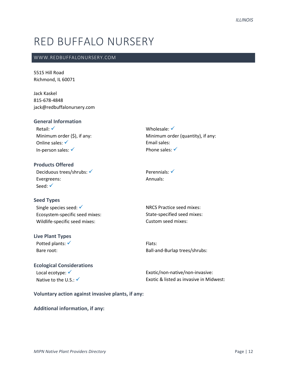### RED BUFFALO NURSERY

#### WWW.REDBUFFALONURSERY.COM

5515 Hill Road Richmond, IL 60071

Jack Kaskel 815-678-4848 jack@redbuffalonursery.com

| <b>General Information</b>      |  |
|---------------------------------|--|
| Retail: $\checkmark$            |  |
| Minimum order $(\xi)$ , if any: |  |
| Online sales: $\checkmark$      |  |
| In-person sales: $\checkmark$   |  |

Wholesale: √ Minimum order (quantity), if any: Email sales: Phone sales: √

**Products Offered** Deciduous trees/shrubs: √ Evergreens: Seed: √

#### **Seed Types**

Single species seed: √ Ecosystem-specific seed mixes: Wildlife-specific seed mixes:

#### **Live Plant Types**

Potted plants: √ Bare root:

Perennials: √ Annuals:

NRCS Practice seed mixes: State-specified seed mixes: Custom seed mixes:

Flats: Ball-and-Burlap trees/shrubs:

### **Ecological Considerations**

Local ecotype: <del>✓</del> Native to the U.S.:  $\checkmark$  Exotic/non-native/non-invasive: Exotic & listed as invasive in Midwest:

#### **Voluntary action against invasive plants, if any:**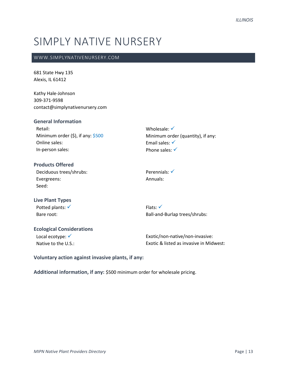## SIMPLY NATIVE NURSERY

#### WWW.SIMPLYNATIVENURSERY.COM

681 State Hwy 135 Alexis, IL 61412

Kathy Hale-Johnson 309-371-9598 contact@simplynativenursery.com

#### **General Information**

Retail: Minimum order (\$), if any: \$500 Online sales: In-person sales:

Wholesale: √ Minimum order (quantity), if any: Email sales: √ Phone sales: √

#### **Products Offered** Deciduous trees/shrubs: Evergreens: Seed:

Perennials: <del>✓</del> Annuals:

### **Live Plant Types** Potted plants: √

Bare root:

Flats: √ Ball-and-Burlap trees/shrubs:

### **Ecological Considerations**

Local ecotype: √ Native to the U.S.: Exotic/non-native/non-invasive: Exotic & listed as invasive in Midwest:

**Voluntary action against invasive plants, if any:** 

**Additional information, if any:** \$500 minimum order for wholesale pricing.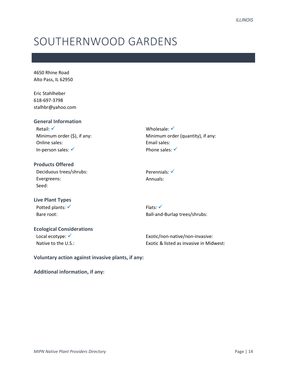### SOUTHERNWOOD GARDENS

4650 Rhine Road Alto Pass, IL 62950

Eric Stahlheber 618-697-3798 stalhbr@yahoo.com

#### **General Information**

Retail: √ Minimum order (\$), if any: Online sales: In-person sales: ✓

Wholesale: √ Minimum order (quantity), if any: Email sales: Phone sales: √

**Products Offered** Deciduous trees/shrubs: Evergreens: Seed:

**Live Plant Types** Potted plants: √

Bare root:

Flats: √ Ball-and-Burlap trees/shrubs:

Perennials: √ Annuals:

### **Ecological Considerations**

Local ecotype: √ Native to the U.S.:

Exotic/non-native/non-invasive: Exotic & listed as invasive in Midwest:

**Voluntary action against invasive plants, if any:**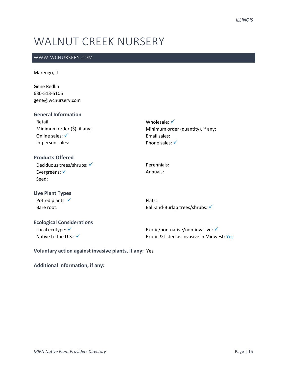## WALNUT CREEK NURSERY

#### WWW.WCNURSERY.COM

#### Marengo, IL

Gene Redlin 630-513-5105 gene@wcnursery.com

#### **General Information**

Retail: Minimum order (\$), if any: Online sales: √ In-person sales:

#### **Products Offered**

Deciduous trees/shrubs: √ Evergreens: √ Seed:

Perennials: Annuals:

Wholesale: √

Email sales: Phone sales: √

#### **Live Plant Types** Potted plants: √ Bare root:

Flats: Ball-and-Burlap trees/shrubs: √

Minimum order (quantity), if any:

#### **Ecological Considerations**

Local ecotype: √ Native to the U.S.:  $\checkmark$ 

Exotic/non-native/non-invasive: ✓ Exotic & listed as invasive in Midwest: Yes

**Voluntary action against invasive plants, if any:** Yes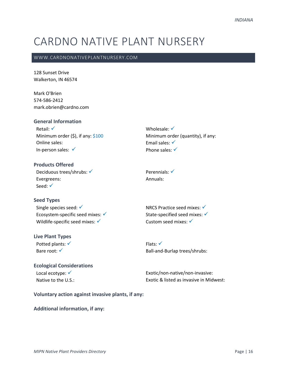## CARDNO NATIVE PLANT NURSERY

#### WWW.CARDNONATIVEPLANTNURSERY.COM

128 Sunset Drive Walkerton, IN 46574

Mark O'Brien 574-586-2412 mark.obrien@cardno.com

#### **General Information**

Retail: √ Minimum order  $(5)$ , if any:  $$100$ Online sales: In-person sales: ✓

Wholesale: √ Minimum order (quantity), if any: Email sales: √ Phone sales: √

**Products Offered** Deciduous trees/shrubs: √ Evergreens: Seed: √

Perennials: <del>✓</del> Annuals:

### **Seed Types** Single species seed: √

Ecosystem-specific seed mixes:  $√$ Wildlife-specific seed mixes: √

#### **Live Plant Types**

Potted plants: √ Bare root: √

NRCS Practice seed mixes:  $√$ State-specified seed mixes:  $√$ Custom seed mixes: √

Flats: ✓ Ball-and-Burlap trees/shrubs:

#### **Ecological Considerations** Local ecotype: √ Native to the U.S.:

Exotic/non-native/non-invasive: Exotic & listed as invasive in Midwest:

**Voluntary action against invasive plants, if any:**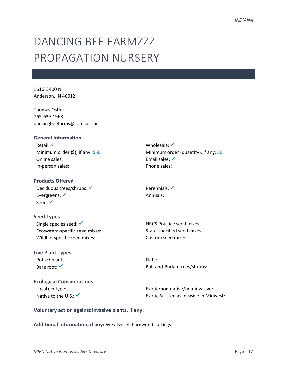## DANCING BFF FARM777 PROPAGATION NURSERY

1616 E 400 N Anderson, IN 46012

Thomas Ostler 765-639-1968 dancingbeefarms@comcast.net

#### **General Information**

Retail: √ Minimum order (\$), if any: \$50 Online sales: In-person sales:

#### **Products Offered**

Deciduous trees/shrubs: √ Evergreens: <del>✓</del> Seed: <del>✓</del>

#### **Seed Types**

Single species seed: √ Ecosystem-specific seed mixes: Wildlife-specific seed mixes:

**Live Plant Types** Potted plants: Bare root: √

**Ecological Considerations** Local ecotype: Native to the U.S.: ✔

Wholesale: √ Minimum order (quantity), if any: 50 Email sales: √ Phone sales:

Perennials: √ Annuals:

NRCS Practice seed mixes: State-specified seed mixes: Custom seed mixes:

Flats: Ball-and-Burlap trees/shrubs:

Exotic/non-native/non-invasive: Exotic & listed as invasive in Midwest:

#### **Voluntary action against invasive plants, if any:**

**Additional information, if any:** We also sell hardwood cuttings.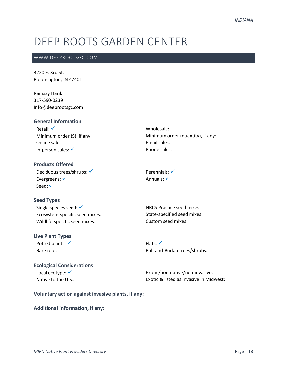## DEEP ROOTS GARDEN CENTER

#### WWW.DEEPROOTSGC.COM

3220 E. 3rd St. Bloomington, IN 47401

Ramsay Harik 317-590-0239 Info@deeprootsgc.com

#### **General Information**

Retail: √ Minimum order (\$), if any: Online sales: In-person sales: ✓

Wholesale: Minimum order (quantity), if any: Email sales: Phone sales:

**Products Offered** Deciduous trees/shrubs: √ Evergreens: √ Seed: √

Perennials: √ Annuals: <del>✓</del>

#### **Seed Types**

Single species seed: √ Ecosystem-specific seed mixes: Wildlife-specific seed mixes:

#### **Live Plant Types**

Potted plants: √ Bare root:

NRCS Practice seed mixes: State-specified seed mixes: Custom seed mixes:

Flats: ✓ Ball-and-Burlap trees/shrubs:

#### **Ecological Considerations** Local ecotype: <del>✓</del> Native to the U.S.:

Exotic/non-native/non-invasive: Exotic & listed as invasive in Midwest:

#### **Voluntary action against invasive plants, if any:**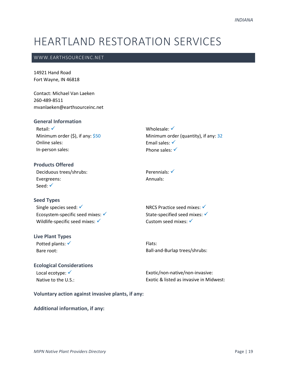## HEARTLAND RESTORATION SERVICES

#### WWW.EARTHSOURCEINC.NET

14921 Hand Road Fort Wayne, IN 46818

Contact: Michael Van Laeken 260-489-8511 mvanlaeken@earthsourceinc.net

#### **General Information**

Retail: √ Minimum order  $(5)$ , if any:  $$50$ Online sales: In-person sales:

Wholesale: √ Minimum order (quantity), if any: 32 Email sales: √ Phone sales: √

**Products Offered** Deciduous trees/shrubs: Evergreens: Seed: √

Perennials: <del>✓</del> Annuals:

### **Seed Types**

Single species seed: √ Ecosystem-specific seed mixes:  $\checkmark$ Wildlife-specific seed mixes:  $\checkmark$ 

#### **Live Plant Types**

Potted plants: <del>✓</del> Bare root:

NRCS Practice seed mixes: ✓ State-specified seed mixes: √ Custom seed mixes: √

Flats: Ball-and-Burlap trees/shrubs:

#### **Ecological Considerations** Local ecotype: <del>✓</del>

Native to the U.S.:

Exotic/non-native/non-invasive: Exotic & listed as invasive in Midwest:

#### **Voluntary action against invasive plants, if any:**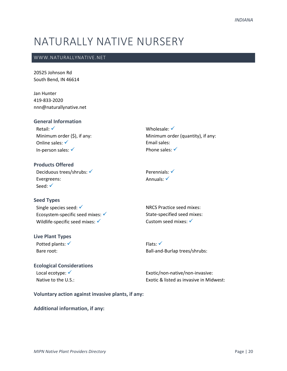### NATURALLY NATIVE NURSERY

#### WWW.NATURALLYNATIVE.NET

20525 Johnson Rd South Bend, IN 46614

Jan Hunter 419-833-2020 nnn@naturallynative.net

#### **General Information**

Retail: √ Minimum order (\$), if any: Online sales: √ In-person sales: ✓

Wholesale: √ Minimum order (quantity), if any: Email sales: Phone sales:  $√$ 

**Products Offered** Deciduous trees/shrubs: √ Evergreens: Seed: √

Perennials: √ Annuals: <del>✓</del>

#### **Seed Types** Single species seed: √ Ecosystem-specific seed mixes: <del>✓</del> Wildlife-specific seed mixes: √

#### **Live Plant Types**

Potted plants: √ Bare root:

Flats: ✓ Ball-and-Burlap trees/shrubs:

NRCS Practice seed mixes: State-specified seed mixes: Custom seed mixes: √

### **Ecological Considerations** Local ecotype: <del>✓</del>

Native to the U.S.:

Exotic/non-native/non-invasive: Exotic & listed as invasive in Midwest:

**Voluntary action against invasive plants, if any:**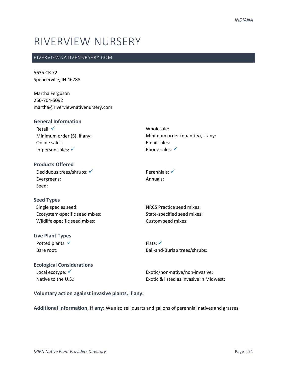### RIVERVIEW NURSERY

#### RIVERVIEWNATIVENURSERY.COM

5635 CR 72 Spencerville, IN 46788

Martha Ferguson 260-704-5092 martha@riverviewnativenursery.com

#### **General Information** Retail: √ Minimum order (\$), if any: Online sales: In-person sales: ✓ Wholesale: Minimum order (quantity), if any: Email sales: Phone sales: √ **Products Offered**

| Deciduous trees/shrubs: √ |
|---------------------------|
| Evergreens:               |
| Seed:                     |

#### **Seed Types**

| Single species seed:           |
|--------------------------------|
| Ecosystem-specific seed mixes: |
| Wildlife-specific seed mixes:  |

#### **Live Plant Types**

Potted plants: √ Bare root:

Perennials: <del>✓</del> Annuals:

NRCS Practice seed mixes: State-specified seed mixes: Custom seed mixes:

Flats: √ Ball-and-Burlap trees/shrubs:

#### **Ecological Considerations** Local ecotype: √ Native to the U.S.:

Exotic/non-native/non-invasive: Exotic & listed as invasive in Midwest:

#### **Voluntary action against invasive plants, if any:**

**Additional information, if any:** We also sell quarts and gallons of perennial natives and grasses.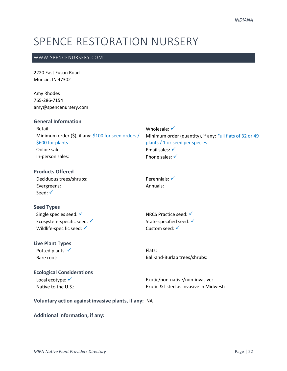## SPENCE RESTORATION NURSERY

#### WWW.SPENCENURSERY.COM

2220 East Fuson Road Muncie, IN 47302

Amy Rhodes 765-286-7154 amy@spencenursery.com

#### **General Information**

Retail: Minimum order (\$), if any: \$100 for seed orders / \$600 for plants Online sales: In-person sales:

Minimum order (quantity), if any: Full flats of 32 or 49 plants / 1 oz seed per species Email sales: ✓ Phone sales: √

#### **Products Offered** Deciduous trees/shrubs:

Evergreens: Seed: <del>✓</del>

### Perennials: √ Annuals:

Wholesale: √

**Seed Types**

Single species seed: √ Ecosystem-specific seed: √ Wildlife-specific seed: √

NRCS Practice seed: √ State-specified seed: √ Custom seed: √

### **Live Plant Types**

Potted plants: √ Bare root:

Flats: Ball-and-Burlap trees/shrubs:

#### **Ecological Considerations**

Local ecotype: √ Native to the U.S.:

Exotic/non-native/non-invasive: Exotic & listed as invasive in Midwest:

#### **Voluntary action against invasive plants, if any:** NA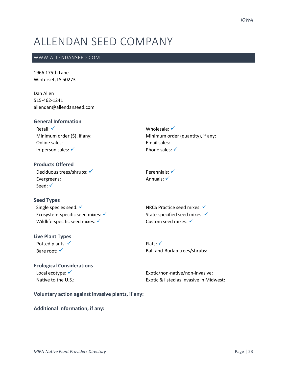## ALLENDAN SEED COMPANY

#### WWW.ALLENDANSEED.COM

1966 175th Lane Winterset, IA 50273

Dan Allen 515-462-1241 allendan@allendanseed.com

#### **General Information**

Retail: √ Minimum order (\$), if any: Online sales: In-person sales: √

Wholesale: √ Minimum order (quantity), if any: Email sales: Phone sales:  $√$ 

**Products Offered** Deciduous trees/shrubs: √ Evergreens: Seed: √

Perennials: √ Annuals: <del>✓</del>

#### **Seed Types** Single species seed: √ Ecosystem-specific seed mixes:  $√$ Wildlife-specific seed mixes: ✓

#### **Live Plant Types** Potted plants: √

Bare root: √

NRCS Practice seed mixes: ✓ State-specified seed mixes: √ Custom seed mixes: √

Flats: ✓ Ball-and-Burlap trees/shrubs:

#### **Ecological Considerations** Local ecotype: <del>✓</del> Native to the U.S.:

Exotic/non-native/non-invasive: Exotic & listed as invasive in Midwest:

**Voluntary action against invasive plants, if any:**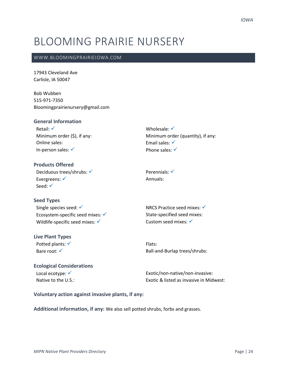### BLOOMING PRAIRIE NURSERY

#### WWW.BLOOMINGPRAIRIEIOWA.COM

17943 Cleveland Ave Carlisle, IA 50047

Bob Wubben 515-971-7350 Bloomingprairienursery@gmail.com

#### **General Information**

Retail: √ Minimum order (\$), if any: Online sales: In-person sales: √

Wholesale: √ Minimum order (quantity), if any: Email sales: √ Phone sales: √

#### **Products Offered** Deciduous trees/shrubs: √ Evergreens: <del>✓</del> Seed: √

**Seed Types**

Single species seed: √ Ecosystem-specific seed mixes:  $√$ Wildlife-specific seed mixes: ✓

#### **Live Plant Types**

Potted plants: √ Bare root: <del>✓</del>

Perennials: <del>✓</del> Annuals:

NRCS Practice seed mixes: ✓ State-specified seed mixes: Custom seed mixes: √

Flats: Ball-and-Burlap trees/shrubs:

#### **Ecological Considerations** Local ecotype: <del>✓</del>

Native to the U.S.:

Exotic/non-native/non-invasive: Exotic & listed as invasive in Midwest:

#### **Voluntary action against invasive plants, if any:**

**Additional information, if any:** We also sell potted shrubs, forbs and grasses.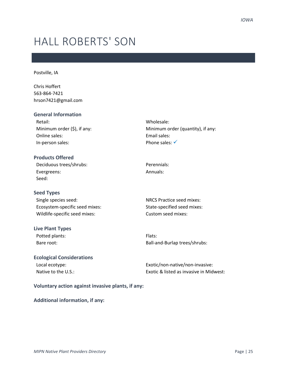## HALL ROBERTS' SON

Postville, IA

Chris Hoffert 563-864-7421 hrson7421@gmail.com

#### **General Information**

| Retail:                       |
|-------------------------------|
| Minimum order $(5)$ , if any: |
| Online sales:                 |
| In-person sales:              |

**Products Offered** Deciduous trees/shrubs:

Evergreens: Seed:

#### **Seed Types**

Single species seed: Ecosystem-specific seed mixes: Wildlife-specific seed mixes:

#### **Live Plant Types**

Potted plants: Bare root:

Perennials:

Wholesale:

Email sales: Phone sales: <del>✓</del>

Annuals:

NRCS Practice seed mixes: State-specified seed mixes: Custom seed mixes:

Minimum order (quantity), if any:

Flats: Ball-and-Burlap trees/shrubs:

### **Ecological Considerations** Local ecotype:

Native to the U.S.:

Exotic/non-native/non-invasive: Exotic & listed as invasive in Midwest:

#### **Voluntary action against invasive plants, if any:**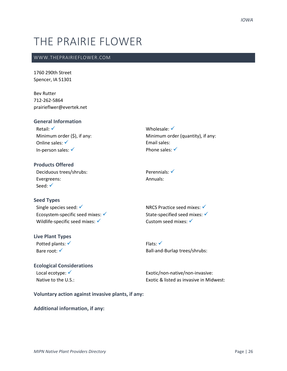## THE PRAIRIE FLOWER

#### WWW.THEPRAIRIEFLOWER.COM

1760 290th Street Spencer, IA 51301

Bev Rutter 712-262-5864 prairieflwer@evertek.net

#### **General Information**

Retail: √ Minimum order (\$), if any: Online sales: √ In-person sales: √

Wholesale: √ Minimum order (quantity), if any: Email sales: Phone sales: √

**Products Offered** Deciduous trees/shrubs: Evergreens: Seed: √

**Seed Types**

Single species seed: √ Ecosystem-specific seed mixes:  $√$ Wildlife-specific seed mixes: ✓

#### **Live Plant Types** Potted plants: √

Bare root: √

Perennials: <del>✓</del> Annuals:

NRCS Practice seed mixes: ✓ State-specified seed mixes: √ Custom seed mixes: √

Flats: ✓ Ball-and-Burlap trees/shrubs:

#### **Ecological Considerations** Local ecotype: <del>✓</del> Native to the U.S.:

Exotic/non-native/non-invasive: Exotic & listed as invasive in Midwest:

**Voluntary action against invasive plants, if any:**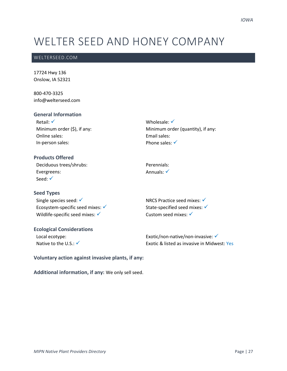## WELTER SEED AND HONEY COMPANY

#### WELTERSEED.COM

17724 Hwy 136 Onslow, IA 52321

800-470-3325 info@welterseed.com

#### **General Information**

Retail: √ Minimum order (\$), if any: Online sales: In-person sales:

**Products Offered** Deciduous trees/shrubs:

Evergreens: Seed: <del>✓</del>

#### **Seed Types**

Single species seed: √ Ecosystem-specific seed mixes:  $√$ Wildlife-specific seed mixes: ✓

#### **Ecological Considerations** Local ecotype:

Native to the U.S.: √

Wholesale: √ Minimum order (quantity), if any: Email sales: Phone sales: √

Perennials: Annuals: <del>✓</del>

NRCS Practice seed mixes: ✓ State-specified seed mixes: √ Custom seed mixes: √

Exotic/non-native/non-invasive: <del>✓</del> Exotic & listed as invasive in Midwest: Yes

**Voluntary action against invasive plants, if any:** 

**Additional information, if any:** We only sell seed.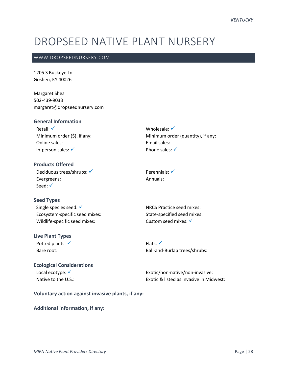### DROPSEED NATIVE PLANT NURSERY

#### WWW.DROPSEEDNURSERY.COM

1205 S Buckeye Ln Goshen, KY 40026

Margaret Shea 502-439-9033 margaret@dropseednursery.com

#### **General Information**

Retail: √ Minimum order (\$), if any: Online sales: In-person sales: ✓

Wholesale: √ Minimum order (quantity), if any: Email sales: Phone sales:  $√$ 

**Products Offered** Deciduous trees/shrubs: √ Evergreens: Seed: √

Perennials: √ Annuals:

#### **Seed Types**

Single species seed: √ Ecosystem-specific seed mixes: Wildlife-specific seed mixes:

#### **Live Plant Types**

Potted plants: √ Bare root:

NRCS Practice seed mixes: State-specified seed mixes: Custom seed mixes: √

Flats: ✓ Ball-and-Burlap trees/shrubs:

#### **Ecological Considerations** Local ecotype: √ Native to the U.S.:

Exotic/non-native/non-invasive: Exotic & listed as invasive in Midwest:

#### **Voluntary action against invasive plants, if any:**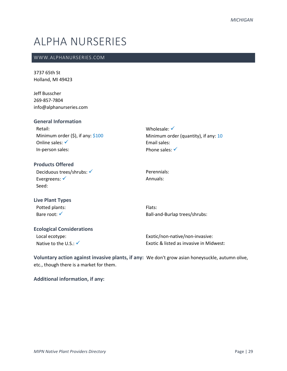## ALPHA NURSERIES

#### WWW.ALPHANURSERIES.COM

3737 65th St Holland, MI 49423

Jeff Busscher 269-857-7804 info@alphanurseries.com

| <b>General Information</b>                |                                         |
|-------------------------------------------|-----------------------------------------|
| Retail:                                   | Wholesale: $\checkmark$                 |
| Minimum order $(\xi)$ , if any: $\xi$ 100 | Minimum order (quantity), if any: 10    |
| Online sales: $\checkmark$                | Email sales:                            |
| In-person sales:                          | Phone sales: $\checkmark$               |
| <b>Products Offered</b>                   |                                         |
| Deciduous trees/shrubs: √                 | Perennials:                             |
| Evergreens: $\checkmark$                  | Annuals:                                |
| Seed:                                     |                                         |
| <b>Live Plant Types</b>                   |                                         |
| Potted plants:                            | Flats:                                  |
| Bare root: <del>V</del>                   | Ball-and-Burlap trees/shrubs:           |
| <b>Ecological Considerations</b>          |                                         |
| Local ecotype:                            | Exotic/non-native/non-invasive:         |
| Native to the U.S.: $\checkmark$          | Exotic & listed as invasive in Midwest: |

**Voluntary action against invasive plants, if any:** We don't grow asian honeysuckle, autumn olive, etc., though there is a market for them.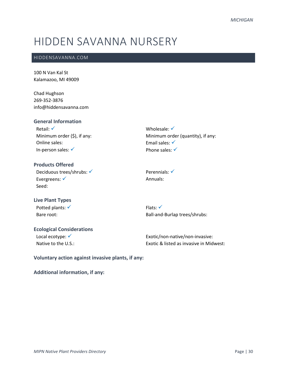## HIDDEN SAVANNA NURSERY

#### HIDDENSAVANNA.COM

100 N Van Kal St Kalamazoo, MI 49009

Chad Hughson 269-352-3876 info@hiddensavanna.com

#### **General Information**

Retail: √ Minimum order (\$), if any: Online sales: In-person sales: ✓

Wholesale: √ Minimum order (quantity), if any: Email sales: √ Phone sales: √

#### **Products Offered** Deciduous trees/shrubs: √ Evergreens: √ Seed:

Perennials: <del>✓</del> Annuals:

Flats: ✓

#### **Live Plant Types** Potted plants: √

Bare root:

### **Ecological Considerations**

Local ecotype: √ Native to the U.S.:

Exotic/non-native/non-invasive: Exotic & listed as invasive in Midwest:

Ball-and-Burlap trees/shrubs:

**Voluntary action against invasive plants, if any:**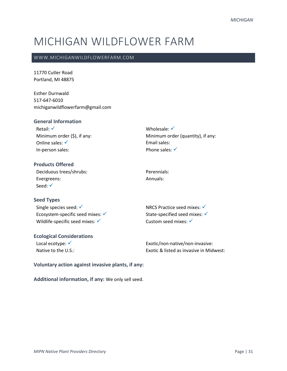## MICHIGAN WILDFLOWER FARM

#### WWW.MICHIGANWILDFLOWERFARM.COM

11770 Cutler Road Portland, MI 48875

Esther Durnwald 517-647-6010 michiganwildflowerfarm@gmail.com

#### **General Information**

Retail: √ Minimum order (\$), if any: Online sales: √ In-person sales:

Wholesale: √ Minimum order (quantity), if any: Email sales: Phone sales: √

**Products Offered** Deciduous trees/shrubs: Evergreens: Seed: √

**Seed Types**

Single species seed: √ Ecosystem-specific seed mixes:  $√$ Wildlife-specific seed mixes: ✓

#### **Ecological Considerations**

Local ecotype: √ Native to the U.S.: NRCS Practice seed mixes:  $√$ State-specified seed mixes: ✓ Custom seed mixes: <del>✓</del>

Perennials: Annuals:

Exotic/non-native/non-invasive: Exotic & listed as invasive in Midwest:

#### **Voluntary action against invasive plants, if any:**

**Additional information, if any:** We only sell seed.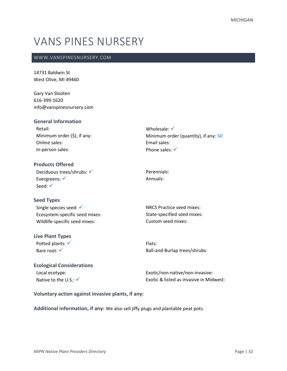## VANS PINES NURSERY

#### WWW.VANSPINESNURSERY.COM

14731 Baldwin St West Olive, MI 49460

Gary Van Slooten 616-399-1620 info@vanspinesnursery.com

| <b>General Information</b>      |                                      |
|---------------------------------|--------------------------------------|
| Retail:                         | Wholesale: $\checkmark$              |
| Minimum order $(\xi)$ , if any: | Minimum order (quantity), if any: 50 |
| Online sales:                   | Email sales:                         |
| In-person sales:                | Phone sales: $\checkmark$            |
|                                 |                                      |

**Products Offered** Deciduous trees/shrubs: √ Evergreens: √ Seed: √

#### **Seed Types**

| Single species seed: $\checkmark$ |
|-----------------------------------|
| Ecosystem-specific seed mixes:    |
| Wildlife-specific seed mixes:     |

#### **Live Plant Types**

Potted plants: √ Bare root: √

Perennials: Annuals:

NRCS Practice seed mixes: State-specified seed mixes: Custom seed mixes:

Flats: Ball-and-Burlap trees/shrubs:

### **Ecological Considerations** Local ecotype:

Native to the U.S.:  $\checkmark$ 

Exotic/non-native/non-invasive: Exotic & listed as invasive in Midwest:

#### **Voluntary action against invasive plants, if any:**

**Additional information, if any:** We also sell jiffy plugs and plantable peat pots.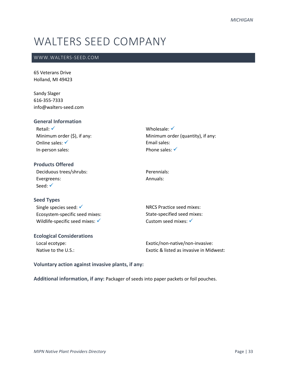## WALTERS SEED COMPANY

#### WWW.WALTERS-SEED.COM

65 Veterans Drive Holland, MI 49423

Sandy Slager 616-355-7333 info@walters-seed.com

| <b>General Information</b>      |                                   |
|---------------------------------|-----------------------------------|
| Retail: $\checkmark$            | Wholesale: $\checkmark$           |
| Minimum order $(\xi)$ , if any: | Minimum order (quantity), if any: |
| Online sales: $\checkmark$      | Email sales:                      |
| In-person sales:                | Phone sales: $\checkmark$         |
|                                 |                                   |

| <b>Products Offered</b> |
|-------------------------|
| Deciduous trees/shrubs: |
| Evergreens:             |
| Seed: $\checkmark$      |

**Seed Types**

Single species seed: √ Ecosystem-specific seed mixes: Wildlife-specific seed mixes: √

#### **Ecological Considerations**

Local ecotype: Native to the U.S.: NRCS Practice seed mixes: State-specified seed mixes: Custom seed mixes: √

Perennials: Annuals:

Exotic/non-native/non-invasive: Exotic & listed as invasive in Midwest:

**Voluntary action against invasive plants, if any:** 

**Additional information, if any:** Packager of seeds into paper packets or foil pouches.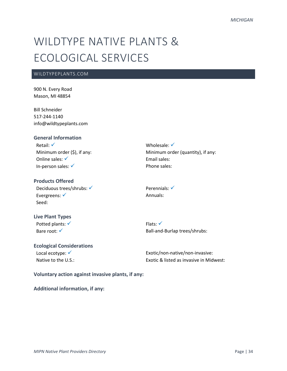## WILDTYPE NATIVE PLANTS & ECOLOGICAL SERVICES

#### WILDTYPEPLANTS.COM

900 N. Every Road Mason, MI 48854

Bill Schneider 517-244-1140 info@wildtypeplants.com

#### **General Information**

Retail: ✓ Minimum order (\$), if any: Online sales: √ In-person sales: ✓

#### **Products Offered**

Deciduous trees/shrubs: √ Evergreens: <del>✓</del> Seed:

### Minimum order (quantity), if any: Email sales: Phone sales:

Perennials: √ Annuals:

Wholesale: √

### **Live Plant Types**

Potted plants: √ Bare root: √

Flats: ✓ Ball-and-Burlap trees/shrubs:

#### **Ecological Considerations**

Local ecotype: √ Native to the U.S.: Exotic/non-native/non-invasive: Exotic & listed as invasive in Midwest:

#### **Voluntary action against invasive plants, if any:**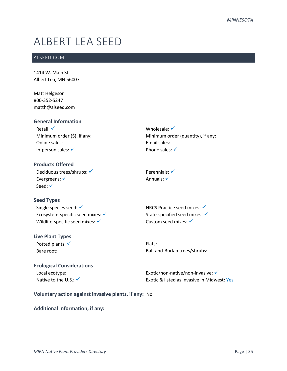## ALBERT LEA SEED

#### ALSEED.COM

1414 W. Main St Albert Lea, MN 56007

Matt Helgeson 800-352-5247 matth@alseed.com

## **General Information**

Retail: √ Minimum order (\$), if any: Online sales: In-person sales: ✓

Wholesale: √ Minimum order (quantity), if any: Email sales: Phone sales: √

**Products Offered** Deciduous trees/shrubs: √ Evergreens: √ Seed: √

#### **Seed Types**

Single species seed: √ Ecosystem-specific seed mixes:  $√$ Wildlife-specific seed mixes: √

#### **Live Plant Types**

Potted plants: √ Bare root:

Annuals: √

Perennials: <del>✓</del>

NRCS Practice seed mixes:  $√$ State-specified seed mixes: ✓ Custom seed mixes: √

Flats: Ball-and-Burlap trees/shrubs:

## **Ecological Considerations** Local ecotype:

Native to the U.S.:  $\checkmark$ 

Exotic/non-native/non-invasive: ✔ Exotic & listed as invasive in Midwest: Yes

### **Voluntary action against invasive plants, if any:** No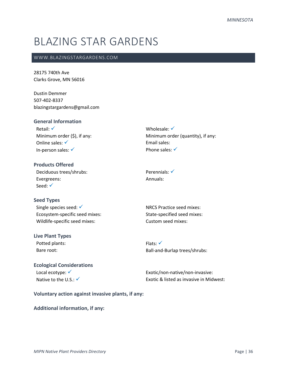## BLAZING STAR GARDENS

#### WWW.BLAZINGSTARGARDENS.COM

28175 740th Ave Clarks Grove, MN 56016

Dustin Demmer 507-402-8337 blazingstargardens@gmail.com

#### **General Information**

Retail: √ Minimum order (\$), if any: Online sales: √ In-person sales: ✓

Wholesale: √ Minimum order (quantity), if any: Email sales: Phone sales: √

**Products Offered** Deciduous trees/shrubs: Evergreens: Seed: √

Perennials: <del>✓</del> Annuals:

#### **Seed Types**

Single species seed: √ Ecosystem-specific seed mixes: Wildlife-specific seed mixes:

#### **Live Plant Types**

Potted plants: Bare root:

NRCS Practice seed mixes: State-specified seed mixes: Custom seed mixes:

Flats: ✓ Ball-and-Burlap trees/shrubs:

## **Ecological Considerations** Local ecotype: <del>✓</del> Native to the U.S.:  $\checkmark$

Exotic/non-native/non-invasive: Exotic & listed as invasive in Midwest:

**Voluntary action against invasive plants, if any:**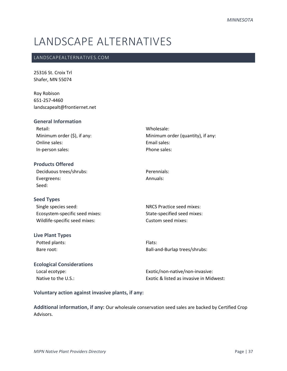# LANDSCAPE ALTERNATIVES

## LANDSCAPEALTERNATIVES.COM

25316 St. Croix Trl Shafer, MN 55074

Roy Robison 651-257-4460 landscapealt@frontiernet.net

| <b>General Information</b>       |                                                    |
|----------------------------------|----------------------------------------------------|
| Retail:                          | Wholesale:                                         |
| Minimum order $(\xi)$ , if any:  | Minimum order (quantity), if any:                  |
| Online sales:                    | <b>Fmail sales:</b>                                |
| In-person sales:                 | Phone sales:                                       |
| <b>Products Offered</b>          |                                                    |
| Deciduous trees/shrubs:          | Perennials:                                        |
| Evergreens:                      | Annuals:                                           |
| Seed:                            |                                                    |
| <b>Seed Types</b>                |                                                    |
| Single species seed:             | <b>NRCS Practice seed mixes:</b>                   |
| Ecosystem-specific seed mixes:   | State-specified seed mixes:                        |
| Wildlife-specific seed mixes:    | Custom seed mixes:                                 |
| <b>Live Plant Types</b>          |                                                    |
| Potted plants:                   | Flats:                                             |
| Bare root:                       | Ball-and-Burlap trees/shrubs:                      |
| <b>Ecological Considerations</b> |                                                    |
| Local ecotype:                   | Exotic/non-native/non-invasive:                    |
| Native to the U.S.:              | <b>Exotic &amp; listed as invasive in Midwest:</b> |

## **Voluntary action against invasive plants, if any:**

**Additional information, if any:** Our wholesale conservation seed sales are backed by Certified Crop Advisors.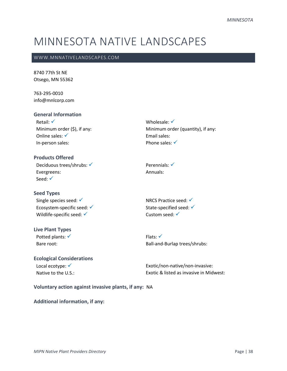# MINNESOTA NATIVE LANDSCAPES

#### WWW.MNNATIVELANDSCAPES.COM

8740 77th St NE Otsego, MN 55362

763-295-0010 info@mnlcorp.com

### **General Information**

Retail: √ Minimum order (\$), if any: Online sales: √ In-person sales:

## **Products Offered**

Deciduous trees/shrubs: √ Evergreens: Seed: <del>✓</del>

#### **Seed Types**

Single species seed: √ Ecosystem-specific seed: ✓ Wildlife-specific seed: √

#### **Live Plant Types**

Potted plants: √ Bare root:

## Perennials: √ Annuals:

Wholesale: √

Email sales: Phone sales: √

Minimum order (quantity), if any:

NRCS Practice seed: √ State-specified seed: √ Custom seed: √

Flats: √ Ball-and-Burlap trees/shrubs:

## **Ecological Considerations**

Local ecotype: <del>✓</del> Native to the U.S.: Exotic/non-native/non-invasive: Exotic & listed as invasive in Midwest:

#### **Voluntary action against invasive plants, if any:** NA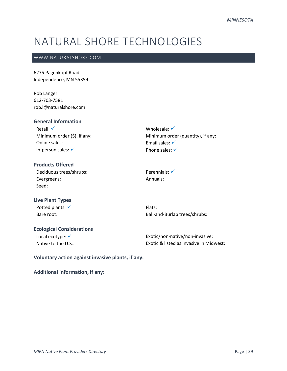## NATURAL SHORE TECHNOLOGIES

## WWW.NATURALSHORE.COM

6275 Pagenkopf Road Independence, MN 55359

Rob Langer 612-703-7581 rob.l@naturalshore.com

## **General Information**

Retail: √ Minimum order (\$), if any: Online sales: In-person sales: ✓

Wholesale: √ Minimum order (quantity), if any: Email sales: √ Phone sales: √

## **Products Offered** Deciduous trees/shrubs: Evergreens: Seed:

Perennials: <del>✓</del> Annuals:

## **Live Plant Types** Potted plants: √ Bare root:

Flats: Ball-and-Burlap trees/shrubs:

## **Ecological Considerations** Local ecotype: √

Native to the U.S.:

Exotic/non-native/non-invasive: Exotic & listed as invasive in Midwest:

**Voluntary action against invasive plants, if any:**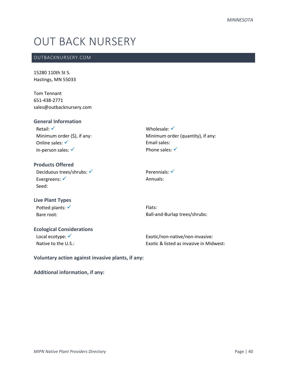## OUT BACK NURSERY

## OUTBACKNURSERY.COM

15280 110th St S. Hastings, MN 55033

Tom Tennant 651-438-2771 sales@outbacknursery.com

### **General Information**

Retail: √ Minimum order (\$), if any: Online sales: √ In-person sales: ✓

Wholesale: √ Minimum order (quantity), if any: Email sales: Phone sales: √

## **Products Offered** Deciduous trees/shrubs: √ Evergreens: √ Seed:

Perennials: <del>✓</del> Annuals:

### **Live Plant Types** Potted plants: √

Bare root:

Flats: Ball-and-Burlap trees/shrubs:

## **Ecological Considerations**

Local ecotype: √ Native to the U.S.:

Exotic/non-native/non-invasive: Exotic & listed as invasive in Midwest:

**Voluntary action against invasive plants, if any:**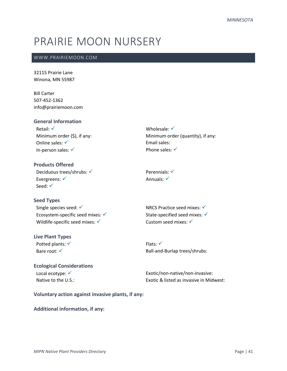# PRAIRIE MOON NURSERY

### WWW.PRAIRIEMOON.COM

32115 Prairie Lane Winona, MN 55987

Bill Carter 507-452-1362 info@prairiemoon.com

### **General Information**

Retail: √ Minimum order (\$), if any: Online sales: √ In-person sales: ✓

Wholesale: √ Minimum order (quantity), if any: Email sales: Phone sales:  $√$ 

**Products Offered** Deciduous trees/shrubs: √ Evergreens: √ Seed: √

Perennials: √ Annuals: <del>✓</del>

**Seed Types** Single species seed: √ Ecosystem-specific seed mixes:  $√$ Wildlife-specific seed mixes: ✓

## **Live Plant Types**

Potted plants: √ Bare root: √

NRCS Practice seed mixes: ✓ State-specified seed mixes: ✓ Custom seed mixes: √

Flats: ✓ Ball-and-Burlap trees/shrubs:

## **Ecological Considerations** Local ecotype: <del>✓</del>

Native to the U.S.:

Exotic/non-native/non-invasive: Exotic & listed as invasive in Midwest:

**Voluntary action against invasive plants, if any:**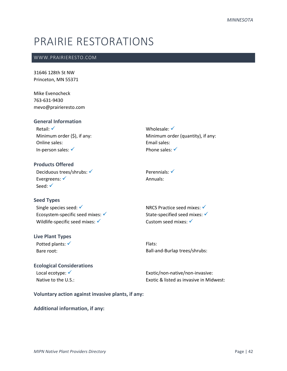## PRAIRIE RESTORATIONS

### WWW.PRAIRIERESTO.COM

31646 128th St NW Princeton, MN 55371

Mike Evenocheck 763-631-9430 mevo@prairieresto.com

### **General Information**

Retail: √ Minimum order (\$), if any: Online sales: In-person sales: ✓

Wholesale: √ Minimum order (quantity), if any: Email sales: Phone sales: √

**Products Offered** Deciduous trees/shrubs: √ Evergreens: √ Seed: √

#### **Seed Types**

Single species seed: √ Ecosystem-specific seed mixes: <del>✓</del> Wildlife-specific seed mixes: √

#### **Live Plant Types**

Potted plants: √ Bare root:

Perennials: √ Annuals:

NRCS Practice seed mixes:  $√$ State-specified seed mixes: ✓ Custom seed mixes: √

Flats: Ball-and-Burlap trees/shrubs:

## **Ecological Considerations** Local ecotype: √

Native to the U.S.:

Exotic/non-native/non-invasive: Exotic & listed as invasive in Midwest:

**Voluntary action against invasive plants, if any:**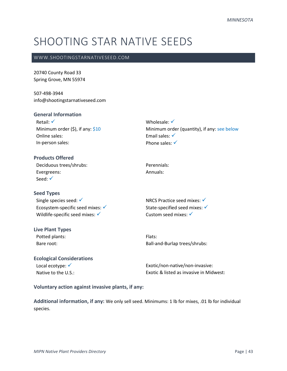## SHOOTING STAR NATIVE SEEDS

#### WWW.SHOOTINGSTARNATIVESEED.COM

20740 County Road 33 Spring Grove, MN 55974

507-498-3944 info@shootingstarnativeseed.com

#### **General Information**

Retail: √ Minimum order  $(5)$ , if any:  $$10$ Online sales: In-person sales:

## **Products Offered**

Deciduous trees/shrubs: Evergreens: Seed: √

#### **Seed Types**

Single species seed: √ Ecosystem-specific seed mixes: ✓ Wildlife-specific seed mixes: ✓

## **Live Plant Types**

Potted plants: Bare root:

## Wholesale: √ Minimum order (quantity), if any: see below Email sales: <del>✓</del> Phone sales: √

Perennials: Annuals:

NRCS Practice seed mixes:  $√$ State-specified seed mixes: √ Custom seed mixes: √

Flats: Ball-and-Burlap trees/shrubs:

## **Ecological Considerations** Local ecotype: √

Native to the U.S.:

Exotic/non-native/non-invasive: Exotic & listed as invasive in Midwest:

#### **Voluntary action against invasive plants, if any:**

**Additional information, if any:** We only sell seed. Minimums: 1 lb for mixes, .01 lb for individual species.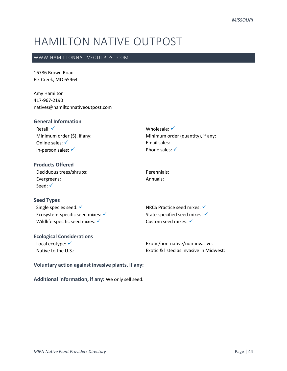# HAMILTON NATIVE OUTPOST

### WWW.HAMILTONNATIVEOUTPOST.COM

16786 Brown Road Elk Creek, MO 65464

Amy Hamilton 417-967-2190 natives@hamiltonnativeoutpost.com

#### **General Information**

Retail: √ Minimum order (\$), if any: Online sales: √ In-person sales: ✓

Wholesale: √ Minimum order (quantity), if any: Email sales: Phone sales: √

**Products Offered** Deciduous trees/shrubs: Evergreens: Seed: √

Perennials: Annuals:

## **Seed Types** Single species seed: √ Ecosystem-specific seed mixes:  $\checkmark$ Wildlife-specific seed mixes: ✓

## **Ecological Considerations**

Local ecotype: <del>✓</del> Native to the U.S.: NRCS Practice seed mixes: ✓ State-specified seed mixes: √ Custom seed mixes: √

Exotic/non-native/non-invasive: Exotic & listed as invasive in Midwest:

## **Voluntary action against invasive plants, if any:**

**Additional information, if any:** We only sell seed.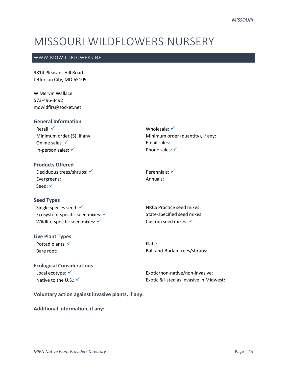## MISSOURI WILDFLOWERS NURSERY

## WWW.MOWILDFLOWERS.NET

9814 Pleasant Hill Road Jefferson City, MO 65109

W Mervin Wallace 573-496-3492 mowldflrs@socket.net

**General Information**

Retail: √ Minimum order (\$), if any: Online sales: √ In-person sales: √

Wholesale: √ Minimum order (quantity), if any: Email sales: Phone sales:  $√$ 

**Products Offered** Deciduous trees/shrubs: √ Evergreens: Seed: √

#### **Seed Types**

Single species seed: √ Ecosystem-specific seed mixes:  $√$ Wildlife-specific seed mixes: √

#### **Live Plant Types**

Potted plants: <del>✓</del> Bare root:

## **Ecological Considerations**

Local ecotype: √ Native to the U.S.: √

Perennials: <del>✓</del> Annuals:

NRCS Practice seed mixes: State-specified seed mixes: Custom seed mixes: ✔

Flats: Ball-and-Burlap trees/shrubs:

Exotic/non-native/non-invasive: Exotic & listed as invasive in Midwest:

**Voluntary action against invasive plants, if any:**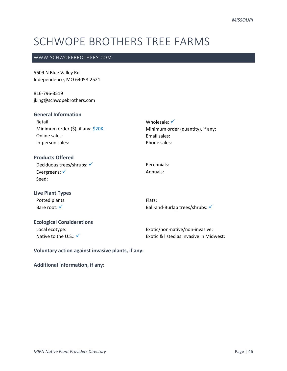# SCHWOPE BROTHERS TREE FARMS

#### WWW.SCHWOPEBROTHERS.COM

5609 N Blue Valley Rd Independence, MO 64058-2521

816-796-3519 jking@schwopebrothers.com

## **General Information**

| Retail:                               |
|---------------------------------------|
| Minimum order $(\$)$ , if any: $$20K$ |
| Online sales:                         |
| In-person sales:                      |

## **Products Offered**

Deciduous trees/shrubs: √ Evergreens: <del>✓</del> Seed:

Perennials: Annuals:

Wholesale: √

Email sales: Phone sales:

## **Live Plant Types** Potted plants: Bare root: √

Flats: Ball-and-Burlap trees/shrubs: √

Minimum order (quantity), if any:

## **Ecological Considerations**

Local ecotype: Native to the  $U.S.:\checkmark$  Exotic/non-native/non-invasive: Exotic & listed as invasive in Midwest:

**Voluntary action against invasive plants, if any:**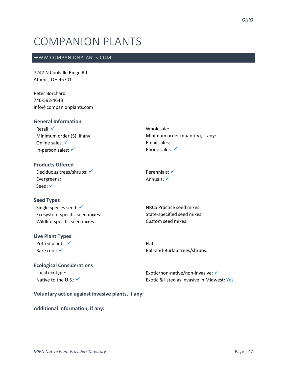# COMPANION PLANTS

### WWW.COMPANIONPLANTS.COM

7247 N Coolville Ridge Rd Athens, OH 45701

Peter Borchard 740-592-4643 info@companionplants.com

### **General Information**

Retail: √ Minimum order (\$), if any: Online sales: √ In-person sales: √

Wholesale: Minimum order (quantity), if any: Email sales: Phone sales: √

## **Products Offered** Deciduous trees/shrubs: √ Evergreens: Seed: √

Perennials: √ Annuals: <del>✓</del>

## **Seed Types**

Single species seed: <del>✓</del> Ecosystem-specific seed mixes: Wildlife-specific seed mixes:

## **Live Plant Types**

Potted plants: √ Bare root: √

NRCS Practice seed mixes: State-specified seed mixes: Custom seed mixes:

Flats: Ball-and-Burlap trees/shrubs:

## **Ecological Considerations** Local ecotype:

Native to the U.S.:  $\checkmark$ 

Exotic/non-native/non-invasive: <del>✓</del> Exotic & listed as invasive in Midwest: Yes

## **Voluntary action against invasive plants, if any:**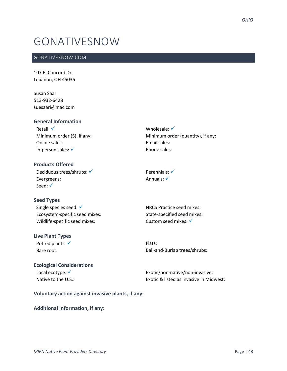## GONATIVESNOW

### GONATIVESNOW.COM

107 E. Concord Dr. Lebanon, OH 45036

Susan Saari 513-932-6428 suesaari@mac.com

## **General Information**

Retail: √ Minimum order (\$), if any: Online sales: In-person sales: √

Wholesale: √ Minimum order (quantity), if any: Email sales: Phone sales:

**Products Offered** Deciduous trees/shrubs: √ Evergreens: Seed: √

Perennials: √ Annuals: √

## **Seed Types**

Single species seed: √ Ecosystem-specific seed mixes: Wildlife-specific seed mixes:

## **Live Plant Types**

Potted plants: √ Bare root:

NRCS Practice seed mixes: State-specified seed mixes: Custom seed mixes: √

Flats: Ball-and-Burlap trees/shrubs:

## **Ecological Considerations** Local ecotype: √ Native to the U.S.:

Exotic/non-native/non-invasive: Exotic & listed as invasive in Midwest:

**Voluntary action against invasive plants, if any:**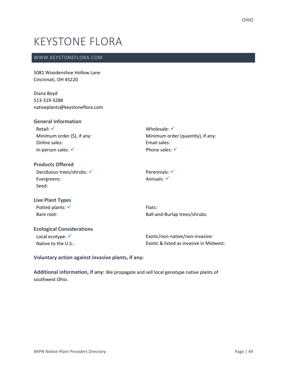## KEYSTONE FLORA

### WWW.KEYSTONEFLORA.COM

5081 Woodenshoe Hollow Lane Cincinnati, OH 45220

Diana Boyd 513-319-3288 nativeplants@keystoneflora.com

### **General Information**

Retail: √ Minimum order (\$), if any: Online sales: In-person sales: ✓

Wholesale: √ Minimum order (quantity), if any: Email sales: Phone sales: √

## **Products Offered**

Deciduous trees/shrubs: √ Evergreens: Seed:

Perennials: √ Annuals: √

### **Live Plant Types** Potted plants: √ Bare root:

Flats: Ball-and-Burlap trees/shrubs:

## **Ecological Considerations**

Local ecotype: √ Native to the U.S.: Exotic/non-native/non-invasive: Exotic & listed as invasive in Midwest:

**Voluntary action against invasive plants, if any:** 

**Additional information, if any:** We propagate and sell local genotype native plants of southwest Ohio.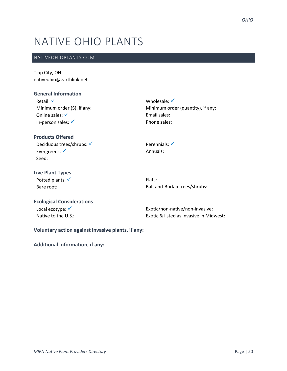# NATIVE OHIO PLANTS

## NATIVEOHIOPLANTS.COM

Tipp City, OH nativeohio@earthlink.net

### **General Information**

Retail: √ Minimum order (\$), if any: Online sales: <del>✓</del> In-person sales: ✓

## Wholesale: √ Minimum order (quantity), if any: Email sales: Phone sales:

## **Products Offered**

Deciduous trees/shrubs: √ Evergreens: √ Seed:

## **Live Plant Types**

Potted plants: √ Bare root:

Perennials: √ Annuals:

Flats: Ball-and-Burlap trees/shrubs:

## **Ecological Considerations**

Local ecotype: <del>✓</del> Native to the U.S.: Exotic/non-native/non-invasive: Exotic & listed as invasive in Midwest:

**Voluntary action against invasive plants, if any:**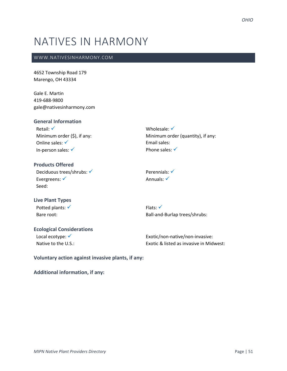## NATIVES IN HARMONY

### WWW.NATIVESINHARMONY.COM

4652 Township Road 179 Marengo, OH 43334

Gale E. Martin 419-688-9800 gale@nativesinharmony.com

### **General Information**

Retail: √ Minimum order (\$), if any: Online sales: √ In-person sales: ✓

Wholesale: √ Minimum order (quantity), if any: Email sales: Phone sales: √

## **Products Offered** Deciduous trees/shrubs: √ Evergreens: √ Seed:

Perennials: √ Annuals: <del>✓</del>

## **Live Plant Types** Potted plants: √

Bare root:

Flats: ✓ Ball-and-Burlap trees/shrubs:

## **Ecological Considerations**

Local ecotype: √ Native to the U.S.:

Exotic/non-native/non-invasive: Exotic & listed as invasive in Midwest:

**Voluntary action against invasive plants, if any:**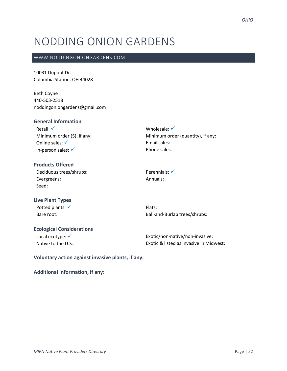# NODDING ONION GARDENS

### WWW.NODDINGONIONGARDENS.COM

10031 Dupont Dr. Columbia Station, OH 44028

Beth Coyne 440-503-2518 noddingoniongardens@gmail.com

### **General Information**

Retail: √ Minimum order (\$), if any: Online sales: √ In-person sales: √

Wholesale: √ Minimum order (quantity), if any: Email sales: Phone sales:

## **Products Offered** Deciduous trees/shrubs: Evergreens: Seed:

Perennials: √ Annuals:

## **Live Plant Types** Potted plants: √ Bare root:

Flats: Ball-and-Burlap trees/shrubs:

## **Ecological Considerations** Local ecotype: √

Native to the U.S.:

Exotic/non-native/non-invasive: Exotic & listed as invasive in Midwest:

**Voluntary action against invasive plants, if any:**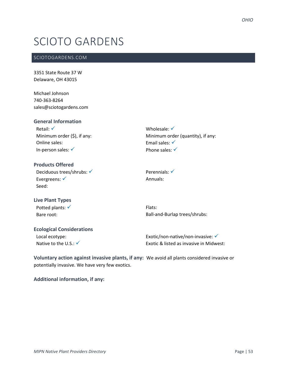## SCIOTO GARDENS

### SCIOTOGARDENS.COM

3351 State Route 37 W Delaware, OH 43015

Michael Johnson 740-363-8264 sales@sciotogardens.com

## **General Information**

Retail: √ Minimum order (\$), if any: Online sales: In-person sales: ✓

Wholesale: √ Minimum order (quantity), if any: Email sales: √ Phone sales: √

#### **Products Offered**

Deciduous trees/shrubs: √ Evergreens: √ Seed:

## **Live Plant Types**

Potted plants: √ Bare root:

Flats: Ball-and-Burlap trees/shrubs:

Perennials: <del>✓</del> Annuals:

## **Ecological Considerations**

Local ecotype: Native to the U.S.:  $\checkmark$  Exotic/non-native/non-invasive: <del>✓</del> Exotic & listed as invasive in Midwest:

**Voluntary action against invasive plants, if any:** We avoid all plants considered invasive or potentially invasive. We have very few exotics.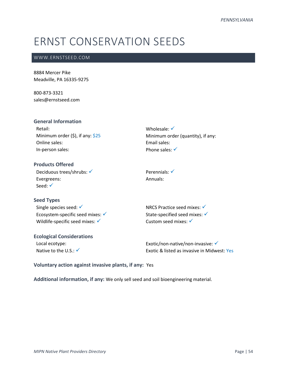# ERNST CONSERVATION SEEDS

## WWW.ERNSTSEED.COM

8884 Mercer Pike Meadville, PA 16335-9275

800-873-3321 sales@ernstseed.com

| <b>General Information</b>               |                                   |
|------------------------------------------|-----------------------------------|
| Retail:                                  | Wholesale: $\checkmark$           |
| Minimum order $(\xi)$ , if any: $\xi$ 25 | Minimum order (quantity), if any: |
| Online sales:                            | Email sales:                      |
| In-person sales:                         | Phone sales: $\checkmark$         |
| <b>Products Offered</b>                  |                                   |

Deciduous trees/shrubs: √ Evergreens: Seed: √

Perennials: √ Annuals:

**Seed Types** Single species seed: √ Ecosystem-specific seed mixes:  $\checkmark$ Wildlife-specific seed mixes: √

**Ecological Considerations** Local ecotype:

Native to the U.S.: √

NRCS Practice seed mixes: ✓ State-specified seed mixes: ✔ Custom seed mixes: √

Exotic/non-native/non-invasive: ✔ Exotic & listed as invasive in Midwest: Yes

**Voluntary action against invasive plants, if any:** Yes

**Additional information, if any:** We only sell seed and soil bioengineering material.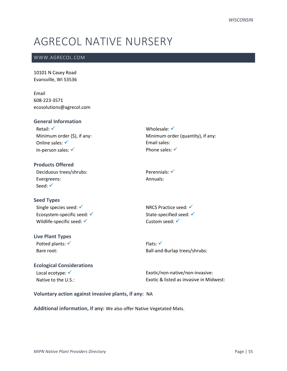# AGRECOL NATIVE NURSERY

## WWW.AGRECOL.COM

10101 N Casey Road Evansville, WI 53536

Email 608-223-3571 ecosolutions@agrecol.com

### **General Information**

Retail: √ Minimum order (\$), if any: Online sales: √ In-person sales: ✓

Wholesale: √ Minimum order (quantity), if any: Email sales: Phone sales: √

**Products Offered** Deciduous trees/shrubs: Evergreens: Seed: √

#### **Seed Types**

Single species seed: √ Ecosystem-specific seed: √ Wildlife-specific seed: √

#### **Live Plant Types**

Potted plants: √ Bare root:

Perennials: <del>✓</del> Annuals:

NRCS Practice seed: ✔ State-specified seed: √ Custom seed: √

Flats: ✓ Ball-and-Burlap trees/shrubs:

## **Ecological Considerations**

Local ecotype: <del>✓</del> Native to the U.S.: Exotic/non-native/non-invasive: Exotic & listed as invasive in Midwest:

#### **Voluntary action against invasive plants, if any:** NA

#### **Additional information, if any:** We also offer Native Vegetated Mats.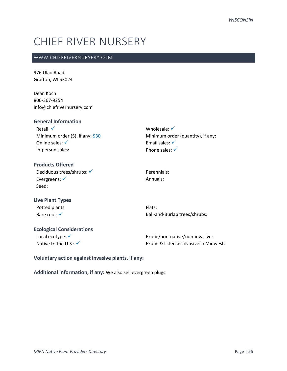# CHIEF RIVER NURSERY

### WWW.CHIEFRIVERNURSERY.COM

976 Ulao Road Grafton, WI 53024

Dean Koch 800-367-9254 info@chiefrivernursery.com

| <b>General Information</b>          |       |
|-------------------------------------|-------|
| Retail: $\checkmark$                | Whol  |
| Minimum order $(5)$ , if any: $$30$ | Minin |
| Online sales: $\checkmark$          | Email |
| In-person sales:                    | Phone |
|                                     |       |

esale: √ num order (quantity), if any: sales: √ e sales:  $\checkmark$ 

## **Products Offered** Deciduous trees/shrubs: √ Evergreens: √ Seed:

Perennials: Annuals:

**Live Plant Types** Potted plants: Bare root: √

Flats: Ball-and-Burlap trees/shrubs:

## **Ecological Considerations**

Local ecotype: √ Native to the U.S.: √ Exotic/non-native/non-invasive: Exotic & listed as invasive in Midwest:

**Voluntary action against invasive plants, if any:** 

**Additional information, if any:** We also sell evergreen plugs.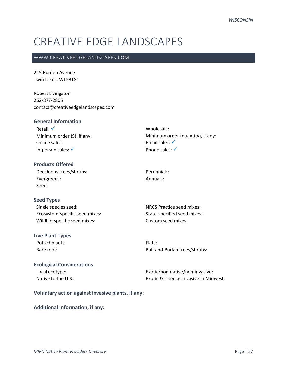# CREATIVE EDGE LANDSCAPES

### WWW.CREATIVEEDGELANDSCAPES.COM

215 Burden Avenue Twin Lakes, WI 53181

Robert Livingston 262-877-2805 contact@creativeedgelandscapes.com

## **General Information**

Retail: √ Minimum order (\$), if any: Online sales: In-person sales: √

Wholesale: Minimum order (quantity), if any: Email sales: √ Phone sales: √

## **Products Offered** Deciduous trees/shrubs: Evergreens: Seed:

**Seed Types**

Single species seed: Ecosystem-specific seed mixes: Wildlife-specific seed mixes:

#### **Live Plant Types**

Potted plants: Bare root:

Perennials: Annuals:

NRCS Practice seed mixes: State-specified seed mixes: Custom seed mixes:

Flats: Ball-and-Burlap trees/shrubs:

## **Ecological Considerations** Local ecotype: Native to the U.S.:

Exotic/non-native/non-invasive: Exotic & listed as invasive in Midwest:

#### **Voluntary action against invasive plants, if any:**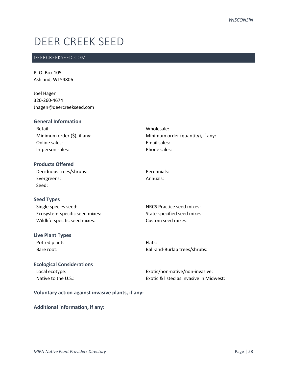## DEER CREEK SEED

## DEERCREEKSEED.COM

P. O. Box 105 Ashland, WI 54806

Joel Hagen 320-260-4674 Jhagen@deercreekseed.com

| <b>General Information</b>       |                                   |
|----------------------------------|-----------------------------------|
| Retail:                          | Wholesale:                        |
| Minimum order $(\xi)$ , if any:  | Minimum order (quantity), if any: |
| Online sales:                    | <b>Email sales:</b>               |
| In-person sales:                 | Phone sales:                      |
| <b>Products Offered</b>          |                                   |
| Deciduous trees/shrubs:          | Perennials:                       |
| Evergreens:                      | Annuals:                          |
| Seed:                            |                                   |
| <b>Seed Types</b>                |                                   |
| Single species seed:             | <b>NRCS Practice seed mixes:</b>  |
| Ecosystem-specific seed mixes:   | State-specified seed mixes:       |
| Wildlife-specific seed mixes:    | Custom seed mixes:                |
| <b>Live Plant Types</b>          |                                   |
| Potted plants:                   | Flats:                            |
| Bare root:                       | Ball-and-Burlap trees/shrubs:     |
| <b>Ecological Considerations</b> |                                   |

## Local ecotype: Native to the U.S.:

Exotic/non-native/non-invasive: Exotic & listed as invasive in Midwest:

## **Voluntary action against invasive plants, if any:**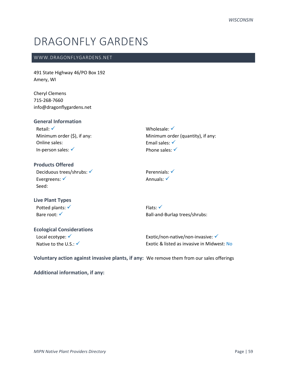## DRAGONFLY GARDENS

### WWW.DRAGONFLYGARDENS.NET

491 State Highway 46/PO Box 192 Amery, WI

Cheryl Clemens 715-268-7660 info@dragonflygardens.net

### **General Information**

Retail: √ Minimum order (\$), if any: Online sales: In-person sales: ✓

Wholesale: √ Minimum order (quantity), if any: Email sales: √ Phone sales: √

## **Products Offered** Deciduous trees/shrubs: √ Evergreens: √ Seed:

**Live Plant Types** Potted plants: √

Bare root: √

Flats: ✓ Ball-and-Burlap trees/shrubs:

Perennials: √ Annuals: <del>✓</del>

## **Ecological Considerations** Local ecotype: √

Native to the  $U.S.: \checkmark$ 

Exotic/non-native/non-invasive: ✔ Exotic & listed as invasive in Midwest: No

**Voluntary action against invasive plants, if any:** We remove them from our sales offerings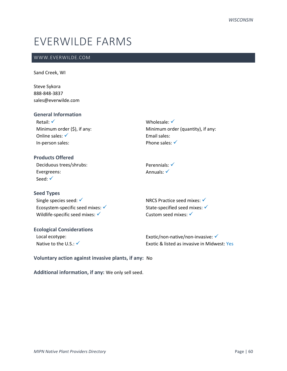## EVERWILDE FARMS

## WWW.EVERWILDE.COM

Sand Creek, WI

Steve Sykora 888-848-3837 sales@everwilde.com

### **General Information**

| Retail: $\checkmark$            |
|---------------------------------|
| Minimum order $(\xi)$ , if any: |
| Online sales: $\checkmark$      |
| In-person sales:                |

## Wholesale: √ Minimum order (quantity), if any: Email sales: Phone sales: √

## **Products Offered**

Deciduous trees/shrubs: Evergreens: Seed: √

#### **Seed Types**

Single species seed: √ Ecosystem-specific seed mixes:  $√$ Wildlife-specific seed mixes: ✓

State-specified seed mixes: √ Custom seed mixes: √

NRCS Practice seed mixes: √

Perennials: √ Annuals: ✓

## **Ecological Considerations** Local ecotype:

Native to the  $U.S.:\checkmark$ 

Exotic/non-native/non-invasive: ✓ Exotic & listed as invasive in Midwest: Yes

**Voluntary action against invasive plants, if any:** No

**Additional information, if any:** We only sell seed.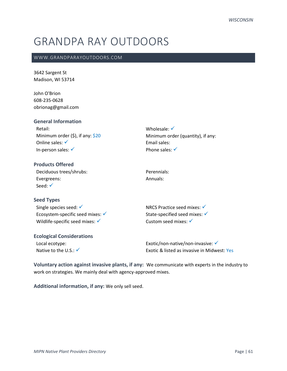## GRANDPA RAY OUTDOORS

### WWW.GRANDPARAYOUTDOORS.COM

3642 Sargent St Madison, WI 53714

John O'Brion 608-235-0628 obrionag@gmail.com

| <b>General Information</b>          |                                        |
|-------------------------------------|----------------------------------------|
| Retail:                             | Wholesale: $\checkmark$                |
| Minimum order $(5)$ , if any: $$20$ | Minimum order (quantity), if any:      |
| Online sales: $\checkmark$          | Email sales:                           |
| In-person sales: $\checkmark$       | Phone sales: $\checkmark$              |
| <b>Products Offered</b>             |                                        |
| Deciduous trees/shrubs:             | Perennials:                            |
| Evergreens:                         | Annuals:                               |
| Seed: $\checkmark$                  |                                        |
| <b>Seed Types</b>                   |                                        |
| Single species seed: $\checkmark$   | NRCS Practice seed mixes: <del>V</del> |
| Ecosystem-specific seed mixes: √    | State-specified seed mixes: V          |

| <b>Ecological Considerations</b> |                                              |
|----------------------------------|----------------------------------------------|
| Local ecotype:                   | Exotic/non-native/non-invasive: $\checkmark$ |
| Native to the U.S.: $\checkmark$ | Exotic & listed as invasive in Midwest: Yes  |

**Voluntary action against invasive plants, if any:** We communicate with experts in the industry to work on strategies. We mainly deal with agency-approved mixes.

Custom seed mixes: √

**Additional information, if any:** We only sell seed.

Wildlife-specific seed mixes: √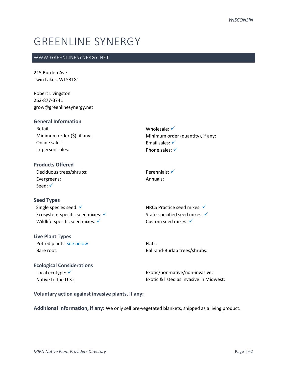## GREENLINE SYNERGY

## WWW.GREENLINESYNERGY.NET

215 Burden Ave Twin Lakes, WI 53181

Robert Livingston 262-877-3741 grow@greenlinesynergy.net

| <b>General Information</b>  |                                   |
|-----------------------------|-----------------------------------|
| Retail:                     | Wholesale: $\checkmark$           |
| Minimum order (\$), if any: | Minimum order (quantity), if any: |
| Online sales:               | Email sales: $\checkmark$         |
| In-person sales:            | Phone sales: $\checkmark$         |
|                             |                                   |

**Products Offered** Deciduous trees/shrubs: Evergreens: Seed: √

#### **Seed Types**

Single species seed: √ Ecosystem-specific seed mixes:  $\checkmark$ Wildlife-specific seed mixes:  $\checkmark$ 

## **Live Plant Types**

Potted plants: see below Bare root:

Perennials: √ Annuals:

NRCS Practice seed mixes: ✓ State-specified seed mixes: √ Custom seed mixes: √

Flats: Ball-and-Burlap trees/shrubs:

## **Ecological Considerations** Local ecotype: <del>✓</del>

Native to the U.S.:

Exotic/non-native/non-invasive: Exotic & listed as invasive in Midwest:

### **Voluntary action against invasive plants, if any:**

**Additional information, if any:** We only sell pre-vegetated blankets, shipped as a living product.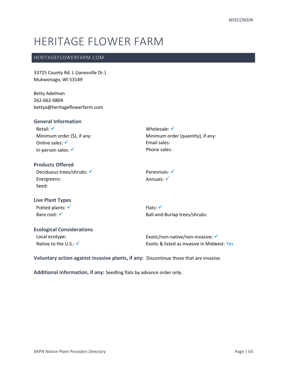## HERITAGE FLOWER FARM

## HERITAGEFLOWERFARM.COM

33725 County Rd. L (Janesville Dr.) Mukwonago, WI 53149

Betty Adelman 262-662-0804 bettya@heritageflowerfarm.com

### **General Information**

Retail: √ Minimum order (\$), if any: Online sales: √ In-person sales: ✓

Wholesale: √ Minimum order (quantity), if any: Email sales: Phone sales:

## **Products Offered** Deciduous trees/shrubs: √ Evergreens: Seed:

Perennials: √ Annuals: <del>✓</del>

## **Live Plant Types** Potted plants: √ Bare root: √

Flats: ✓ Ball-and-Burlap trees/shrubs:

## **Ecological Considerations** Local ecotype:

Native to the U.S.:  $\checkmark$ 

Exotic/non-native/non-invasive: ✔ Exotic & listed as invasive in Midwest: Yes

**Voluntary action against invasive plants, if any:** Discontinue those that are invasive.

**Additional information, if any:** Seedling flats by advance order only.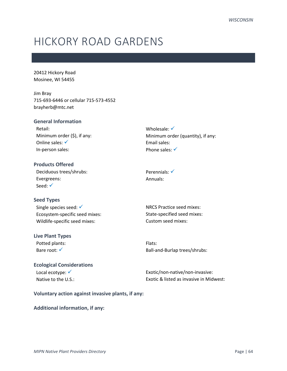## HICKORY ROAD GARDENS

20412 Hickory Road Mosinee, WI 54455

Jim Bray 715-693-6446 or cellular 715-573-4552 brayherb@mtc.net

## **General Information** Retail: Minimum order (\$), if any: Online sales: √ In-person sales:

Wholesale: √ Minimum order (quantity), if any: Email sales: Phone sales: √

**Products Offered** Deciduous trees/shrubs: Evergreens: Seed: √

## **Seed Types**

Single species seed: √ Ecosystem-specific seed mixes: Wildlife-specific seed mixes:

#### **Live Plant Types**

Potted plants: Bare root: √

Perennials: <del>✓</del> Annuals:

NRCS Practice seed mixes: State-specified seed mixes: Custom seed mixes:

Flats: Ball-and-Burlap trees/shrubs:

## **Ecological Considerations** Local ecotype: √

Native to the U.S.:

Exotic/non-native/non-invasive: Exotic & listed as invasive in Midwest:

#### **Voluntary action against invasive plants, if any:**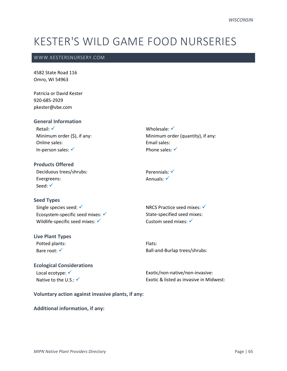## KESTER'S WILD GAME FOOD NURSERIES

### WWW.KESTERSNURSERY.COM

4582 State Road 116 Omro, WI 54963

Patricia or David Kester 920-685-2929 pkester@vbe.com

**General Information** Retail: √ Minimum order (\$), if any: Online sales: In-person sales: √

Wholesale: √ Minimum order (quantity), if any: Email sales: Phone sales:  $√$ 

**Products Offered** Deciduous trees/shrubs: Evergreens: Seed: √

**Seed Types**

Single species seed: √ Ecosystem-specific seed mixes: <del>✓</del> Wildlife-specific seed mixes:  $\checkmark$ 

**Live Plant Types** Potted plants: Bare root: √

Perennials: √ Annuals: <del>✓</del>

NRCS Practice seed mixes: ✓ State-specified seed mixes: Custom seed mixes: ✔

Flats: Ball-and-Burlap trees/shrubs:

## **Ecological Considerations** Local ecotype: <del>✓</del>

Native to the U.S.: √

Exotic/non-native/non-invasive: Exotic & listed as invasive in Midwest:

**Voluntary action against invasive plants, if any:**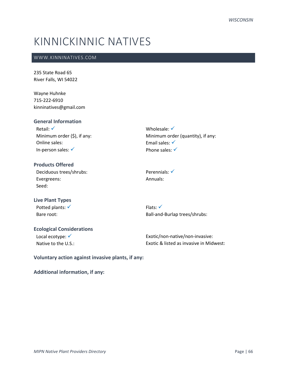# KINNICKINNIC NATIVES

## WWW.KINNINATIVES.COM

235 State Road 65 River Falls, WI 54022

Wayne Huhnke 715-222-6910 kinninatives@gmail.com

## **General Information**

Retail: √ Minimum order (\$), if any: Online sales: In-person sales: ✓

Wholesale: √ Minimum order (quantity), if any: Email sales: √ Phone sales: √

**Products Offered** Deciduous trees/shrubs: Evergreens: Seed:

Perennials: <del>✓</del> Annuals:

## **Live Plant Types** Potted plants: √ Bare root:

Flats: ✓ Ball-and-Burlap trees/shrubs:

## **Ecological Considerations** Local ecotype: √

Native to the U.S.:

Exotic/non-native/non-invasive: Exotic & listed as invasive in Midwest:

**Voluntary action against invasive plants, if any:**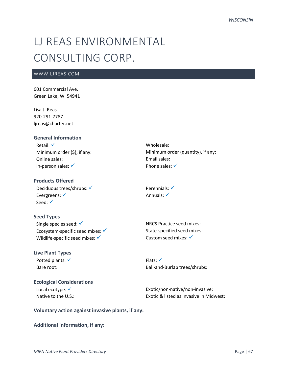# LJ REAS ENVIRONMENTAL CONSULTING CORP.

## WWW.LJREAS.COM

601 Commercial Ave. Green Lake, WI 54941

Lisa J. Reas 920-291-7787 ljreas@charter.net

#### **General Information**

Retail: √ Minimum order (\$), if any: Online sales: In-person sales: ✓

## **Products Offered**

Deciduous trees/shrubs: √ Evergreens: <del>✓</del> Seed: <del>✓</del>

## **Seed Types**

Single species seed: √ Ecosystem-specific seed mixes:  $√$ Wildlife-specific seed mixes:  $\checkmark$ 

## **Live Plant Types**

Potted plants: √ Bare root:

## **Ecological Considerations** Local ecotype: <del>✓</del> Native to the U.S.:

Wholesale: Minimum order (quantity), if any: Email sales: Phone sales: √

Perennials: √ Annuals: √

NRCS Practice seed mixes: State-specified seed mixes: Custom seed mixes: <del>✓</del>

Flats: √ Ball-and-Burlap trees/shrubs:

Exotic/non-native/non-invasive: Exotic & listed as invasive in Midwest:

## **Voluntary action against invasive plants, if any:**

#### **Additional information, if any:**

*MIPN Native Plant Providers Directory* Page | 67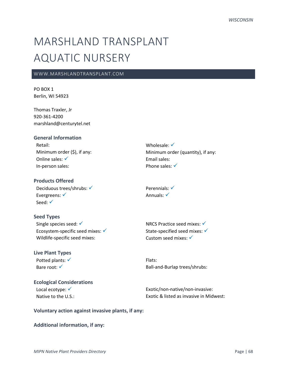# MARSHLAND TRANSPLANT AQUATIC NURSERY

### WWW.MARSHLANDTRANSPLANT.COM

PO BOX 1 Berlin, WI 54923

Thomas Traxler, Jr 920-361-4200 marshland@centurytel.net

#### **General Information**

Retail: Minimum order (\$), if any: Online sales: √ In-person sales:

### **Products Offered**

Deciduous trees/shrubs: √ Evergreens: <del>✓</del> Seed: <del>✓</del>

### **Seed Types**

Single species seed: √ Ecosystem-specific seed mixes:  $√$ Wildlife-specific seed mixes:

## **Live Plant Types**

Potted plants: √ Bare root: √

**Ecological Considerations** Local ecotype: <del>✓</del> Native to the U.S.:

Wholesale: √ Minimum order (quantity), if any: Email sales: Phone sales: √

Perennials: √ Annuals: √

NRCS Practice seed mixes: √ State-specified seed mixes: <del>✓</del> Custom seed mixes: √

Flats: Ball-and-Burlap trees/shrubs:

Exotic/non-native/non-invasive: Exotic & listed as invasive in Midwest:

**Voluntary action against invasive plants, if any:**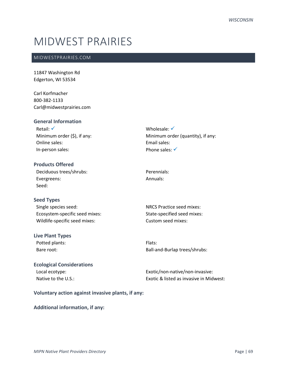## MIDWEST PRAIRIES

### MIDWESTPRAIRIES.COM

11847 Washington Rd Edgerton, WI 53534

Carl Korfmacher 800-382-1133 Carl@midwestprairies.com

#### **General Information** Retail: √ Minimum order (\$), if any: Online sales: In-person sales: Wholesale: √ Minimum order (quantity), if any: Email sales: Phone sales: √ **Products Offered**

| Deciduous trees/shrubs: |
|-------------------------|
| Evergreens:             |
| Seed:                   |

## **Seed Types**

| Single species seed:           |
|--------------------------------|
| Ecosystem-specific seed mixes: |
| Wildlife-specific seed mixes:  |

#### **Live Plant Types**

Potted plants: Bare root:

## Perennials: Annuals:

NRCS Practice seed mixes: State-specified seed mixes: Custom seed mixes:

Flats: Ball-and-Burlap trees/shrubs:

## **Ecological Considerations** Local ecotype: Native to the U.S.:

Exotic/non-native/non-invasive: Exotic & listed as invasive in Midwest:

#### **Voluntary action against invasive plants, if any:**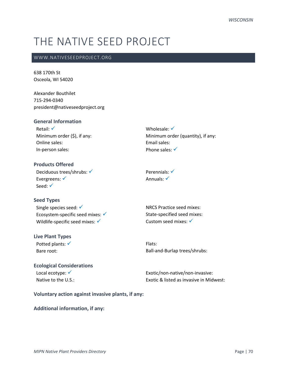# THE NATIVE SEED PROJECT

#### WWW.NATIVESEEDPROJECT.ORG

638 170th St Osceola, WI 54020

Alexander Bouthilet 715-294-0340 president@nativeseedproject.org

#### **General Information**

Retail: √ Minimum order (\$), if any: Online sales: In-person sales:

Wholesale: √ Minimum order (quantity), if any: Email sales: Phone sales:  $√$ 

**Products Offered** Deciduous trees/shrubs: √ Evergreens: ✓ Seed: √

**Seed Types**

Single species seed: √ Ecosystem-specific seed mixes:  $√$ Wildlife-specific seed mixes: √

#### **Live Plant Types**

Potted plants: <del>✓</del> Bare root:

NRCS Practice seed mixes: State-specified seed mixes: Custom seed mixes: √

Perennials: √ Annuals: <del>✓</del>

Flats: Ball-and-Burlap trees/shrubs:

## **Ecological Considerations**

Local ecotype: √ Native to the U.S.: Exotic/non-native/non-invasive: Exotic & listed as invasive in Midwest:

**Voluntary action against invasive plants, if any:**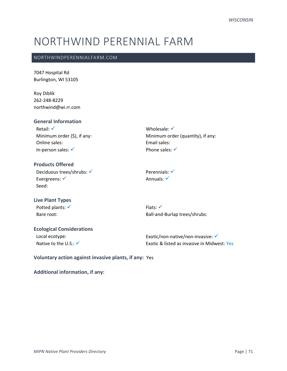# NORTHWIND PERENNIAL FARM

#### NORTHWINDPERENNIALFARM.COM

7047 Hospital Rd Burlington, WI 53105

Roy Diblik 262-248-8229 northwind@wi.rr.com

## **General Information**

Retail: √ Minimum order (\$), if any: Online sales: In-person sales: ✓

Wholesale: √ Minimum order (quantity), if any: Email sales: Phone sales: √

# **Products Offered** Deciduous trees/shrubs: √ Evergreens: √ Seed:

**Live Plant Types** Potted plants: √

Bare root:

Perennials: √ Annuals: <del>✓</del>

Flats: √ Ball-and-Burlap trees/shrubs:

### **Ecological Considerations** Local ecotype: Native to the U.S.:  $\checkmark$

Exotic/non-native/non-invasive: <del>✓</del> Exotic & listed as invasive in Midwest: Yes

**Voluntary action against invasive plants, if any:** Yes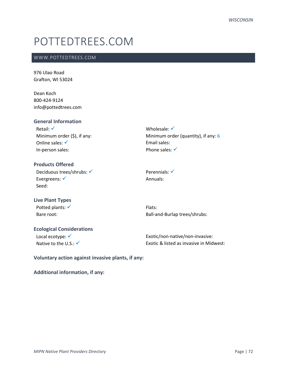# POTTEDTREES.COM

### WWW.POTTEDTREES.COM

976 Ulao Road Grafton, WI 53024

Dean Koch 800-424-9124 info@pottedtrees.com

### **General Information**

Retail: √ Minimum order (\$), if any: Online sales: √ In-person sales:

Wholesale: √ Minimum order (quantity), if any: 6 Email sales: Phone sales: √

# **Products Offered** Deciduous trees/shrubs: √ Evergreens: √ Seed:

Perennials: √ Annuals:

**Live Plant Types** Potted plants: √ Bare root:

Flats: Ball-and-Burlap trees/shrubs:

## **Ecological Considerations** Local ecotype: √

Native to the U.S.:  $\checkmark$ 

Exotic/non-native/non-invasive: Exotic & listed as invasive in Midwest:

**Voluntary action against invasive plants, if any:**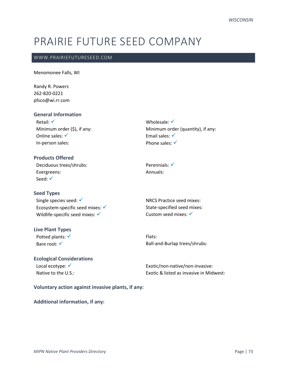# PRAIRIE FUTURE SEED COMPANY

#### WWW.PRAIRIEFUTURESEED.COM

Menomonee Falls, WI

Randy R. Powers 262-820-0221 pfsco@wi.rr.com

#### **General Information**

Retail: √ Minimum order (\$), if any: Online sales: √ In-person sales:

### **Products Offered**

Deciduous trees/shrubs: Evergreens: Seed: <del>✓</del>

#### **Seed Types**

Single species seed: √ Ecosystem-specific seed mixes:  $√$ Wildlife-specific seed mixes: ✓

## **Live Plant Types**

Potted plants: √ Bare root: √

### **Ecological Considerations** Local ecotype: √ Native to the U.S.:

Wholesale: √ Minimum order (quantity), if any: Email sales: √ Phone sales: √

Perennials: √ Annuals:

NRCS Practice seed mixes: State-specified seed mixes: Custom seed mixes: √

Flats: Ball-and-Burlap trees/shrubs:

Exotic/non-native/non-invasive: Exotic & listed as invasive in Midwest:

**Voluntary action against invasive plants, if any:**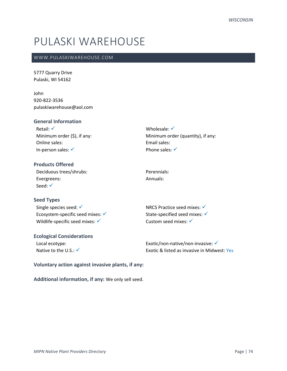# PULASKI WAREHOUSE

#### WWW.PULASKIWAREHOUSE.COM

5777 Quarry Drive Pulaski, WI 54162

John 920-822-3536 pulaskiwarehouse@aol.com

### **General Information**

Retail: √ Minimum order (\$), if any: Online sales: In-person sales: ✓

Wholesale: √ Minimum order (quantity), if any: Email sales: Phone sales: √

**Products Offered** Deciduous trees/shrubs: Evergreens: Seed: √

**Seed Types**

Single species seed: √ Ecosystem-specific seed mixes:  $√$ Wildlife-specific seed mixes: ✓

#### **Ecological Considerations** Local ecotype:

Native to the U.S.: √

NRCS Practice seed mixes:  $√$ State-specified seed mixes: ✓ Custom seed mixes: √

Perennials: Annuals:

Exotic/non-native/non-invasive: ✔ Exotic & listed as invasive in Midwest: Yes

#### **Voluntary action against invasive plants, if any:**

**Additional information, if any:** We only sell seed.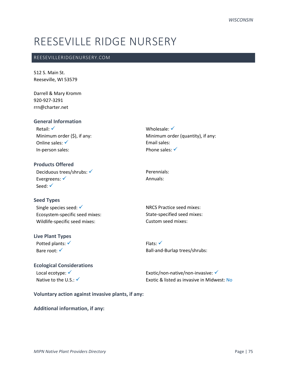# REESEVILLE RIDGE NURSERY

#### REESEVILLERIDGENURSERY.COM

512 S. Main St. Reeseville, WI 53579

Darrell & Mary Kromm 920-927-3291 rrn@charter.net

# **General Information**

Retail: √ Minimum order (\$), if any: Online sales: √ In-person sales:

Wholesale: √ Minimum order (quantity), if any: Email sales: Phone sales:  $√$ 

**Products Offered** Deciduous trees/shrubs: √ Evergreens: √ Seed: √

#### **Seed Types**

Single species seed: √ Ecosystem-specific seed mixes: Wildlife-specific seed mixes:

#### **Live Plant Types**

Potted plants: √ Bare root: √

Perennials: Annuals:

NRCS Practice seed mixes: State-specified seed mixes: Custom seed mixes:

Flats: ✓ Ball-and-Burlap trees/shrubs:

### **Ecological Considerations** Local ecotype: <del>✓</del>

Native to the U.S.: √

Exotic/non-native/non-invasive: <del>✓</del> Exotic & listed as invasive in Midwest: No

**Voluntary action against invasive plants, if any:**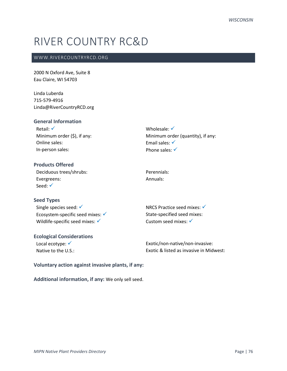# RIVER COUNTRY RC&D

### WWW.RIVERCOUNTRYRCD.ORG

2000 N Oxford Ave, Suite 8 Eau Claire, WI 54703

Linda Luberda 715-579-4916 Linda@RiverCountryRCD.org

#### **General Information**

| Retail: $\checkmark$            |
|---------------------------------|
| Minimum order $(\xi)$ , if any: |
| Online sales:                   |
| In-person sales:                |

Wholesale: √ Minimum order (quantity), if any: Email sales: √ Phone sales: √

# **Products Offered** Deciduous trees/shrubs: Evergreens: Seed: √

Perennials: Annuals:

# **Seed Types** Single species seed: √ Ecosystem-specific seed mixes:  $\checkmark$ Wildlife-specific seed mixes:  $\checkmark$

#### **Ecological Considerations**

Local ecotype: √ Native to the U.S.: NRCS Practice seed mixes: ✓ State-specified seed mixes: Custom seed mixes: <del>✓</del>

Exotic/non-native/non-invasive: Exotic & listed as invasive in Midwest:

#### **Voluntary action against invasive plants, if any:**

**Additional information, if any:** We only sell seed.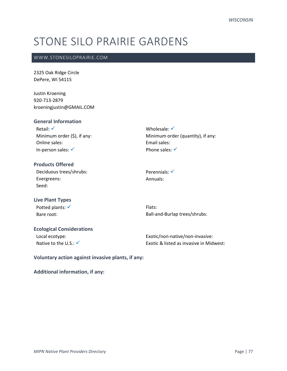# STONE SILO PRAIRIE GARDENS

### WWW.STONESILOPRAIRIE.COM

2325 Oak Ridge Circle DePere, WI 54115

Justin Kroening 920-713-2879 kroeningjustin@GMAIL.COM

### **General Information**

Retail: √ Minimum order (\$), if any: Online sales: In-person sales: ✓

Wholesale: √ Minimum order (quantity), if any: Email sales: Phone sales: √

## **Products Offered** Deciduous trees/shrubs: Evergreens: Seed:

Perennials: <del>✓</del> Annuals:

# **Live Plant Types** Potted plants: √

Bare root:

Flats: Ball-and-Burlap trees/shrubs:

# **Ecological Considerations**

Local ecotype: Native to the U.S.:  $\checkmark$ 

Exotic/non-native/non-invasive: Exotic & listed as invasive in Midwest:

**Voluntary action against invasive plants, if any:**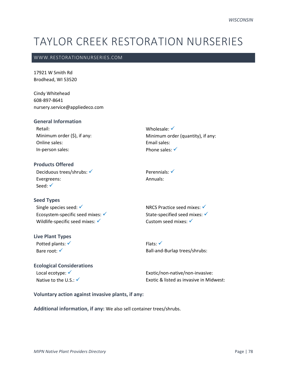# TAYLOR CREEK RESTORATION NURSERIES

#### WWW.RESTORATIONNURSERIES.COM

17921 W Smith Rd Brodhead, WI 53520

Cindy Whitehead 608-897-8641 nursery.service@appliedeco.com

#### **General Information**

Retail: Minimum order (\$), if any: Online sales: In-person sales:

Wholesale: √ Minimum order (quantity), if any: Email sales: Phone sales:  $√$ 

**Products Offered** Deciduous trees/shrubs: √ Evergreens: Seed: <del>✓</del>

#### **Seed Types**

Single species seed: √ Ecosystem-specific seed mixes:  $√$ Wildlife-specific seed mixes: √

#### **Live Plant Types**

Potted plants: √ Bare root: √

Perennials: √ Annuals:

NRCS Practice seed mixes: ✓ State-specified seed mixes: √ Custom seed mixes: √

Flats: ✓ Ball-and-Burlap trees/shrubs:

# **Ecological Considerations** Local ecotype: <del>✓</del>

Native to the U.S.: √

Exotic/non-native/non-invasive: Exotic & listed as invasive in Midwest:

#### **Voluntary action against invasive plants, if any:**

**Additional information, if any:** We also sell container trees/shrubs.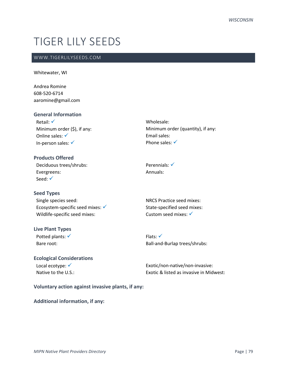# TIGER LILY SEEDS

### WWW.TIGERLILYSEEDS.COM

#### Whitewater, WI

Andrea Romine 608-520-6714 aaromine@gmail.com

#### **General Information**

Retail: √ Minimum order (\$), if any: Online sales: √ In-person sales: ✓

# **Products Offered**

Deciduous trees/shrubs: Evergreens: Seed: <del>✓</del>

#### **Seed Types**

Single species seed: Ecosystem-specific seed mixes:  $√$ Wildlife-specific seed mixes:

#### **Live Plant Types**

Potted plants: <del>✓</del> Bare root:

# **Ecological Considerations** Local ecotype: <del>✓</del>

Native to the U.S.:

Wholesale: Minimum order (quantity), if any: Email sales: Phone sales: <del>✓</del>

Perennials: √ Annuals:

NRCS Practice seed mixes: State-specified seed mixes: Custom seed mixes: √

Flats: ✓ Ball-and-Burlap trees/shrubs:

Exotic/non-native/non-invasive: Exotic & listed as invasive in Midwest:

#### **Voluntary action against invasive plants, if any:**